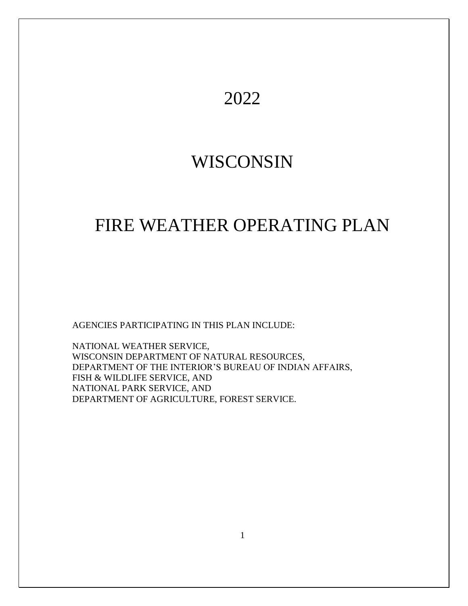# 2022

# WISCONSIN

# FIRE WEATHER OPERATING PLAN

AGENCIES PARTICIPATING IN THIS PLAN INCLUDE:

NATIONAL WEATHER SERVICE, WISCONSIN DEPARTMENT OF NATURAL RESOURCES, DEPARTMENT OF THE INTERIOR'S BUREAU OF INDIAN AFFAIRS, FISH & WILDLIFE SERVICE, AND NATIONAL PARK SERVICE, AND DEPARTMENT OF AGRICULTURE, FOREST SERVICE.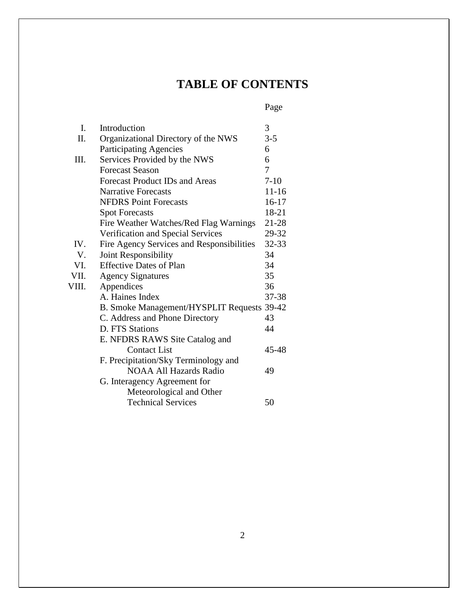# **TABLE OF CONTENTS**

# Page

| I.    | Introduction                               | 3         |
|-------|--------------------------------------------|-----------|
| Π.    | Organizational Directory of the NWS        | $3 - 5$   |
|       | <b>Participating Agencies</b>              | 6         |
| III.  | Services Provided by the NWS               | 6         |
|       | <b>Forecast Season</b>                     | 7         |
|       | <b>Forecast Product IDs and Areas</b>      | $7 - 10$  |
|       | <b>Narrative Forecasts</b>                 | $11 - 16$ |
|       | <b>NFDRS</b> Point Forecasts               | 16-17     |
|       | <b>Spot Forecasts</b>                      | 18-21     |
|       | Fire Weather Watches/Red Flag Warnings     | 21-28     |
|       | Verification and Special Services          | 29-32     |
| IV.   | Fire Agency Services and Responsibilities  | 32-33     |
| V.    | Joint Responsibility                       | 34        |
| VI.   | <b>Effective Dates of Plan</b>             | 34        |
| VII.  | <b>Agency Signatures</b>                   | 35        |
| VIII. | Appendices                                 | 36        |
|       | A. Haines Index                            | 37-38     |
|       | B. Smoke Management/HYSPLIT Requests 39-42 |           |
|       | C. Address and Phone Directory             | 43        |
|       | <b>D. FTS Stations</b>                     | 44        |
|       | E. NFDRS RAWS Site Catalog and             |           |
|       | <b>Contact List</b>                        | 45-48     |
|       | F. Precipitation/Sky Terminology and       |           |
|       | <b>NOAA All Hazards Radio</b>              | 49        |
|       | G. Interagency Agreement for               |           |
|       | Meteorological and Other                   |           |
|       | <b>Technical Services</b>                  | 50        |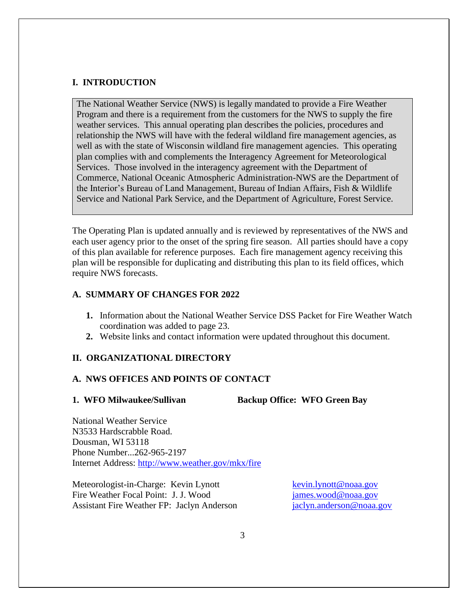#### **I. INTRODUCTION**

The National Weather Service (NWS) is legally mandated to provide a Fire Weather Program and there is a requirement from the customers for the NWS to supply the fire weather services. This annual operating plan describes the policies, procedures and relationship the NWS will have with the federal wildland fire management agencies, as well as with the state of Wisconsin wildland fire management agencies. This operating plan complies with and complements the Interagency Agreement for Meteorological Services. Those involved in the interagency agreement with the Department of Commerce, National Oceanic Atmospheric Administration-NWS are the Department of the Interior's Bureau of Land Management, Bureau of Indian Affairs, Fish & Wildlife Service and National Park Service, and the Department of Agriculture, Forest Service.

The Operating Plan is updated annually and is reviewed by representatives of the NWS and each user agency prior to the onset of the spring fire season. All parties should have a copy of this plan available for reference purposes. Each fire management agency receiving this plan will be responsible for duplicating and distributing this plan to its field offices, which require NWS forecasts.

#### **A. SUMMARY OF CHANGES FOR 2022**

- **1.** Information about the National Weather Service DSS Packet for Fire Weather Watch coordination was added to page 23.
- **2.** Website links and contact information were updated throughout this document.

#### **II. ORGANIZATIONAL DIRECTORY**

#### **A. NWS OFFICES AND POINTS OF CONTACT**

#### **1. WFO Milwaukee/Sullivan Backup Office: WFO Green Bay**

National Weather Service N3533 Hardscrabble Road. Dousman, WI 53118 Phone Number...262-965-2197 Internet Address:<http://www.weather.gov/mkx/fire>

Meteorologist-in-Charge: Kevin Lynott [kevin.lynott@noaa.gov](mailto:kevin.lynott@noaa.gov)<br>Fire Weather Focal Point: J. J. Wood iames.wood@noaa.gov Fire Weather Focal Point: J. J. Wood *[james.wood@noaa.gov](mailto:james.wood@noaa.gov)*<br>Assistant Fire Weather FP: Jaclyn Anderson *jaclyn.anderson@noaa.gov* Assistant Fire Weather FP: Jaclyn Anderson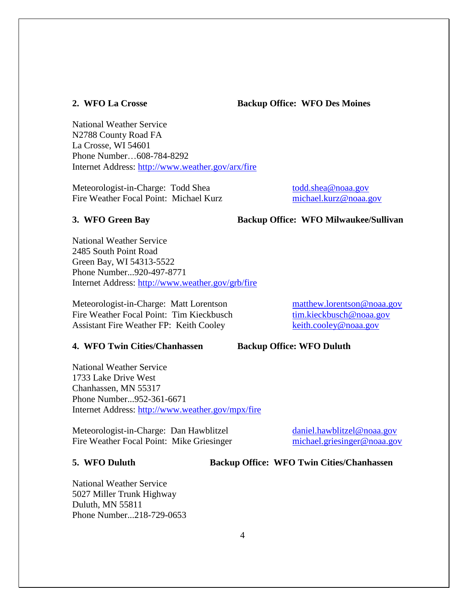#### **2. WFO La Crosse Backup Office: WFO Des Moines**

National Weather Service N2788 County Road FA La Crosse, WI 54601 Phone Number…608-784-8292 Internet Address:<http://www.weather.gov/arx/fire>

Meteorologist-in-Charge: Todd Shea [todd.shea@noaa.gov](mailto:todd.shea@noaa.gov) Fire Weather Focal Point: Michael Kurz [michael.kurz@noaa.gov](mailto:michael.kurz@noaa.gov)

**3. WFO Green Bay Backup Office: WFO Milwaukee/Sullivan**

National Weather Service 2485 South Point Road Green Bay, WI 54313-5522 Phone Number...920-497-8771 Internet Address:<http://www.weather.gov/grb/fire>

Meteorologist-in-Charge: Matt Lorentson matthew.lorentson @noaa.gov Fire Weather Focal Point: Tim Kieckbusch [tim.kieckbusch@noaa.gov](mailto:tim.kieckbusch@noaa.gov) Assistant Fire Weather FP: Keith Cooley [keith.cooley@noaa.gov](mailto:keith.cooley@noaa.gov)

#### **4. WFO Twin Cities/Chanhassen Backup Office: WFO Duluth**

National Weather Service 1733 Lake Drive West Chanhassen, MN 55317 Phone Number...952-361-6671 Internet Address:<http://www.weather.gov/mpx/fire>

Meteorologist-in-Charge: Dan Hawblitzel [daniel.hawblitzel@noaa.gov](mailto:daniel.hawblitzel@noaa.gov) Fire Weather Focal Point: Mike Griesinger [michael.griesinger@noaa.gov](mailto:michael.griesinger@noaa.gov)

**5. WFO Duluth Backup Office: WFO Twin Cities/Chanhassen**

National Weather Service 5027 Miller Trunk Highway Duluth, MN 55811 Phone Number...218-729-0653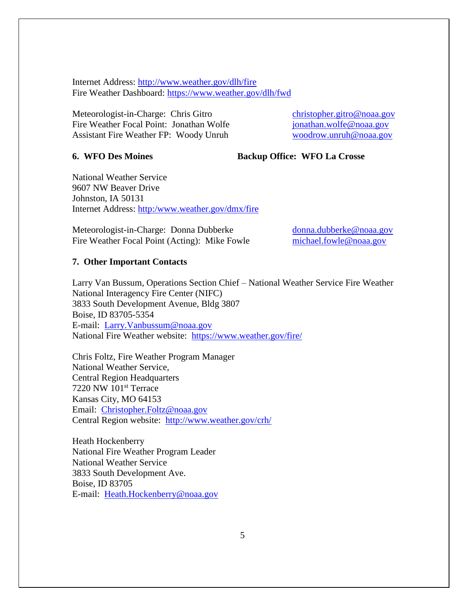Internet Address:<http://www.weather.gov/dlh/fire> Fire Weather Dashboard:<https://www.weather.gov/dlh/fwd>

Meteorologist-in-Charge: Chris Gitro [christopher.gitro@noaa.gov](mailto:christopher.gitro@noaa.gov) Fire Weather Focal Point: Jonathan Wolfe [jonathan.wolfe@noaa.gov](mailto:jonathan.wolfe@noaa.gov) Assistant Fire Weather FP: Woody Unruh [woodrow.unruh@noaa.gov](mailto:woodrow.unruh@noaa.gov)

**6. WFO Des Moines Backup Office: WFO La Crosse**

National Weather Service 9607 NW Beaver Drive Johnston, IA 50131 Internet Address: [http:/www.weather.gov/dmx/fire](http://www.weather.gov/dmx/fire)

Meteorologist-in-Charge: Donna Dubberke donna.dubberke @noaa.gov Fire Weather Focal Point (Acting): Mike Fowle [michael.fowle@noaa.gov](mailto:michael.fowle@noaa.gov)

#### **7. Other Important Contacts**

Larry Van Bussum, Operations Section Chief – National Weather Service Fire Weather National Interagency Fire Center (NIFC) 3833 South Development Avenue, Bldg 3807 Boise, ID 83705-5354 E-mail: [Larry.Vanbussum@noaa.gov](mailto:Larry.Vanbussum@noaa.gov) National Fire Weather website: <https://www.weather.gov/fire/>

Chris Foltz, Fire Weather Program Manager National Weather Service, Central Region Headquarters 7220 NW 101st Terrace Kansas City, MO 64153 Email: [Christopher.Foltz@noaa.gov](mailto:Christopher.Foltz@noaa.gov) Central Region website: <http://www.weather.gov/crh/>

Heath Hockenberry National Fire Weather Program Leader National Weather Service 3833 South Development Ave. Boise, ID 83705 E-mail: [Heath.Hockenberry@noaa.gov](mailto:Heath.Hockenberry@noaa.gov)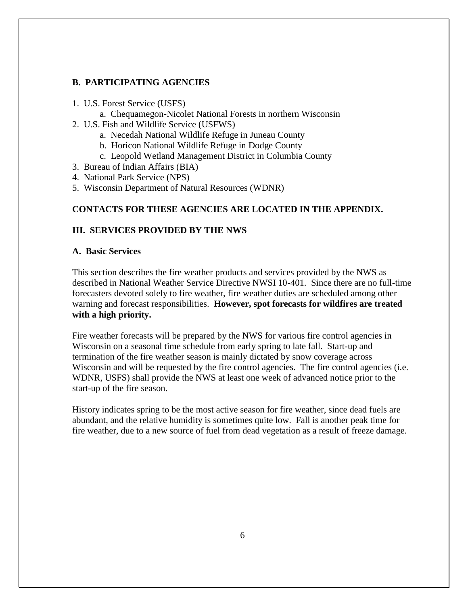#### **B. PARTICIPATING AGENCIES**

- 1. U.S. Forest Service (USFS)
	- a. Chequamegon-Nicolet National Forests in northern Wisconsin
- 2. U.S. Fish and Wildlife Service (USFWS)
	- a. Necedah National Wildlife Refuge in Juneau County
	- b. Horicon National Wildlife Refuge in Dodge County
	- c. Leopold Wetland Management District in Columbia County
- 3. Bureau of Indian Affairs (BIA)
- 4. National Park Service (NPS)
- 5. Wisconsin Department of Natural Resources (WDNR)

#### **CONTACTS FOR THESE AGENCIES ARE LOCATED IN THE APPENDIX.**

#### **III. SERVICES PROVIDED BY THE NWS**

#### **A. Basic Services**

This section describes the fire weather products and services provided by the NWS as described in National Weather Service Directive NWSI 10-401. Since there are no full-time forecasters devoted solely to fire weather, fire weather duties are scheduled among other warning and forecast responsibilities. **However, spot forecasts for wildfires are treated with a high priority.**

Fire weather forecasts will be prepared by the NWS for various fire control agencies in Wisconsin on a seasonal time schedule from early spring to late fall. Start-up and termination of the fire weather season is mainly dictated by snow coverage across Wisconsin and will be requested by the fire control agencies. The fire control agencies (i.e. WDNR, USFS) shall provide the NWS at least one week of advanced notice prior to the start-up of the fire season.

History indicates spring to be the most active season for fire weather, since dead fuels are abundant, and the relative humidity is sometimes quite low. Fall is another peak time for fire weather, due to a new source of fuel from dead vegetation as a result of freeze damage.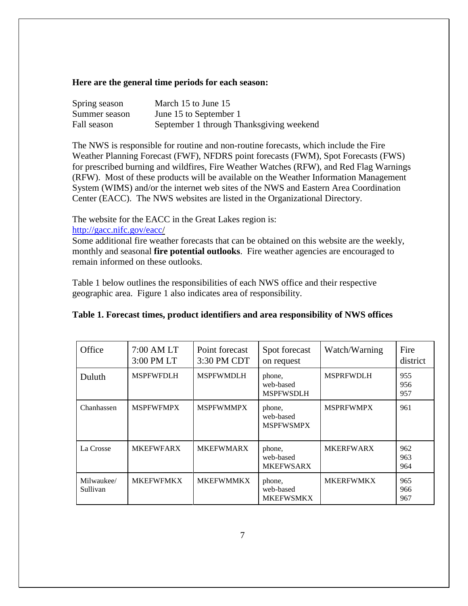#### **Here are the general time periods for each season:**

| Spring season | March 15 to June 15                      |
|---------------|------------------------------------------|
| Summer season | June 15 to September 1                   |
| Fall season   | September 1 through Thanksgiving weekend |

The NWS is responsible for routine and non-routine forecasts, which include the Fire Weather Planning Forecast (FWF), NFDRS point forecasts (FWM), Spot Forecasts (FWS) for prescribed burning and wildfires, Fire Weather Watches (RFW), and Red Flag Warnings (RFW). Most of these products will be available on the Weather Information Management System (WIMS) and/or the internet web sites of the NWS and Eastern Area Coordination Center (EACC). The NWS websites are listed in the Organizational Directory.

The website for the EACC in the Great Lakes region is: [http://gacc.nifc.gov/eacc/](http://gacc.nifc.gov/eacc)

Some additional fire weather forecasts that can be obtained on this website are the weekly, monthly and seasonal **fire potential outlooks**. Fire weather agencies are encouraged to remain informed on these outlooks.

Table 1 below outlines the responsibilities of each NWS office and their respective geographic area. Figure 1 also indicates area of responsibility.

| Office                 | 7:00 AM LT<br>3:00 PM LT | Point forecast<br>3:30 PM CDT | Spot forecast<br>on request             | Watch/Warning    | Fire<br>district  |
|------------------------|--------------------------|-------------------------------|-----------------------------------------|------------------|-------------------|
| Duluth                 | <b>MSPFWFDLH</b>         | <b>MSPFWMDLH</b>              | phone,<br>web-based<br><b>MSPFWSDLH</b> | <b>MSPRFWDLH</b> | 955<br>956<br>957 |
| Chanhassen             | <b>MSPFWFMPX</b>         | <b>MSPFWMMPX</b>              | phone,<br>web-based<br><b>MSPFWSMPX</b> | <b>MSPRFWMPX</b> | 961               |
| La Crosse              | <b>MKEFWFARX</b>         | <b>MKEFWMARX</b>              | phone,<br>web-based<br><b>MKEFWSARX</b> | <b>MKERFWARX</b> | 962<br>963<br>964 |
| Milwaukee/<br>Sullivan | <b>MKEFWFMKX</b>         | <b>MKEFWMMKX</b>              | phone,<br>web-based<br><b>MKEFWSMKX</b> | <b>MKERFWMKX</b> | 965<br>966<br>967 |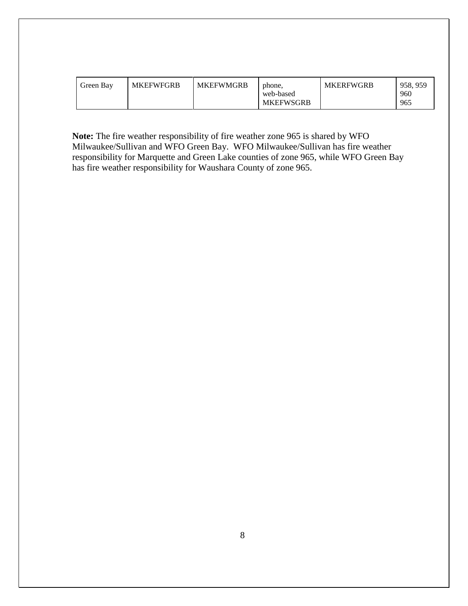| <b>MKEFWFGRB</b> | phone.           | <b>MKERFWGRB</b> | 958, 959 |
|------------------|------------------|------------------|----------|
| <b>MKEFWMGRB</b> | web-based        |                  | 960      |
| Green Bav        | <b>MKEFWSGRB</b> |                  | 965      |

**Note:** The fire weather responsibility of fire weather zone 965 is shared by WFO Milwaukee/Sullivan and WFO Green Bay. WFO Milwaukee/Sullivan has fire weather responsibility for Marquette and Green Lake counties of zone 965, while WFO Green Bay has fire weather responsibility for Waushara County of zone 965.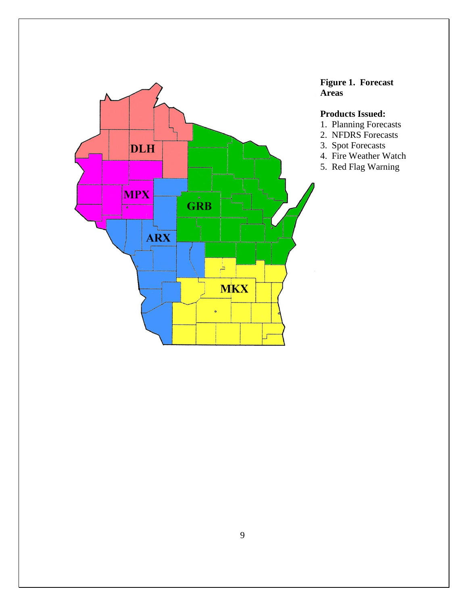

## **Figure 1. Forecast Areas**

## **Products Issued:**

- 1. Planning Forecasts
- 2. NFDRS Forecasts
- 3. Spot Forecasts
- 4. Fire Weather Watch
- 5. Red Flag Warning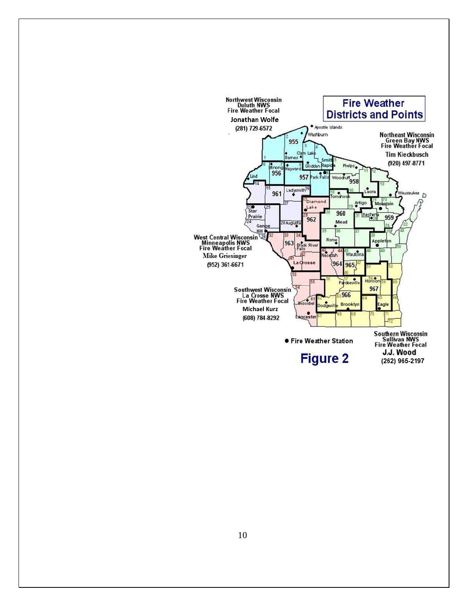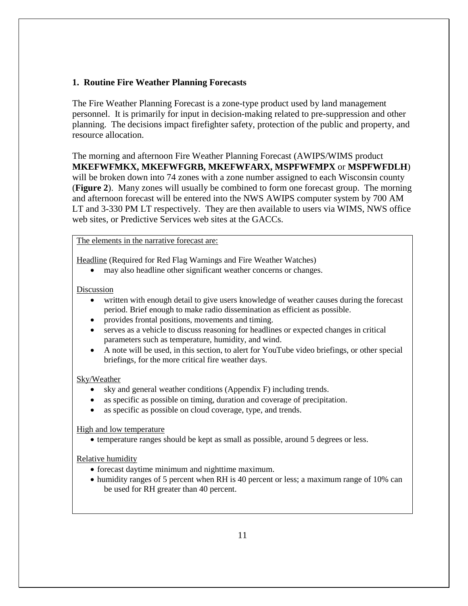### **1. Routine Fire Weather Planning Forecasts**

The Fire Weather Planning Forecast is a zone-type product used by land management personnel. It is primarily for input in decision-making related to pre-suppression and other planning. The decisions impact firefighter safety, protection of the public and property, and resource allocation.

The morning and afternoon Fire Weather Planning Forecast (AWIPS/WIMS product **MKEFWFMKX, MKEFWFGRB, MKEFWFARX, MSPFWFMPX** or **MSPFWFDLH**) will be broken down into 74 zones with a zone number assigned to each Wisconsin county (**Figure 2**). Many zones will usually be combined to form one forecast group. The morning and afternoon forecast will be entered into the NWS AWIPS computer system by 700 AM LT and 3-330 PM LT respectively. They are then available to users via WIMS, NWS office web sites, or Predictive Services web sites at the GACCs.

#### The elements in the narrative forecast are:

Headline (Required for Red Flag Warnings and Fire Weather Watches)

may also headline other significant weather concerns or changes.

#### Discussion

- written with enough detail to give users knowledge of weather causes during the forecast period. Brief enough to make radio dissemination as efficient as possible.
- provides frontal positions, movements and timing.
- serves as a vehicle to discuss reasoning for headlines or expected changes in critical parameters such as temperature, humidity, and wind.
- A note will be used, in this section, to alert for YouTube video briefings, or other special briefings, for the more critical fire weather days.

#### Sky/Weather

- sky and general weather conditions (Appendix F) including trends.
- as specific as possible on timing, duration and coverage of precipitation.
- as specific as possible on cloud coverage, type, and trends.

#### High and low temperature

temperature ranges should be kept as small as possible, around 5 degrees or less.

#### Relative humidity

- forecast daytime minimum and nighttime maximum.
- humidity ranges of 5 percent when RH is 40 percent or less; a maximum range of 10% can be used for RH greater than 40 percent.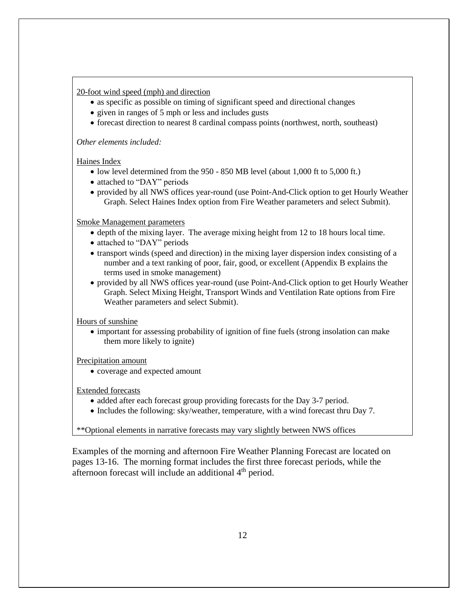#### 20-foot wind speed (mph) and direction

- as specific as possible on timing of significant speed and directional changes
- given in ranges of 5 mph or less and includes gusts
- forecast direction to nearest 8 cardinal compass points (northwest, north, southeast)

#### *Other elements included:*

#### Haines Index

- low level determined from the 950 850 MB level (about 1,000 ft to 5,000 ft.)
- attached to "DAY" periods
- provided by all NWS offices year-round (use Point-And-Click option to get Hourly Weather Graph. Select Haines Index option from Fire Weather parameters and select Submit).

#### Smoke Management parameters

- depth of the mixing layer. The average mixing height from 12 to 18 hours local time.
- attached to "DAY" periods
- transport winds (speed and direction) in the mixing layer dispersion index consisting of a number and a text ranking of poor, fair, good, or excellent (Appendix B explains the terms used in smoke management)
- provided by all NWS offices year-round (use Point-And-Click option to get Hourly Weather Graph. Select Mixing Height, Transport Winds and Ventilation Rate options from Fire Weather parameters and select Submit).

Hours of sunshine

• important for assessing probability of ignition of fine fuels (strong insolation can make them more likely to ignite)

#### Precipitation amount

coverage and expected amount

#### Extended forecasts

- added after each forecast group providing forecasts for the Day 3-7 period.
- Includes the following: sky/weather, temperature, with a wind forecast thru Day 7.

\*\*Optional elements in narrative forecasts may vary slightly between NWS offices

Examples of the morning and afternoon Fire Weather Planning Forecast are located on pages 13-16. The morning format includes the first three forecast periods, while the afternoon forecast will include an additional 4<sup>th</sup> period.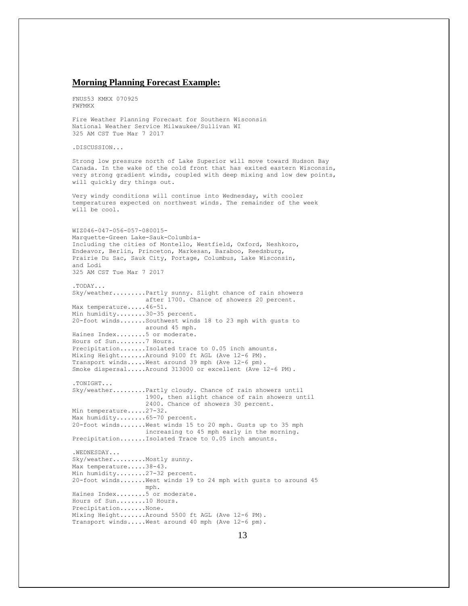#### **Morning Planning Forecast Example:**

FNUS53 KMKX 070925 FWFMKX

Fire Weather Planning Forecast for Southern Wisconsin National Weather Service Milwaukee/Sullivan WI 325 AM CST Tue Mar 7 2017

.DISCUSSION...

Strong low pressure north of Lake Superior will move toward Hudson Bay Canada. In the wake of the cold front that has exited eastern Wisconsin, very strong gradient winds, coupled with deep mixing and low dew points, will quickly dry things out.

Very windy conditions will continue into Wednesday, with cooler temperatures expected on northwest winds. The remainder of the week will be cool.

WIZ046-047-056-057-080015- Marquette-Green Lake-Sauk-Columbia-Including the cities of Montello, Westfield, Oxford, Neshkoro, Endeavor, Berlin, Princeton, Markesan, Baraboo, Reedsburg, Prairie Du Sac, Sauk City, Portage, Columbus, Lake Wisconsin, and Lodi 325 AM CST Tue Mar 7 2017 .TODAY... Sky/weather.........Partly sunny. Slight chance of rain showers after 1700. Chance of showers 20 percent. Max temperature.....46-51. Min humidity........30-35 percent. 20-foot winds.......Southwest winds 18 to 23 mph with gusts to around 45 mph. Haines Index........5 or moderate. Hours of Sun........7 Hours. Precipitation.......Isolated trace to 0.05 inch amounts. Mixing Height.......Around 9100 ft AGL (Ave 12-6 PM). Transport winds.....West around 39 mph (Ave 12-6 pm). Smoke dispersal.....Around 313000 or excellent (Ave 12-6 PM). .TONIGHT... Sky/weather.........Partly cloudy. Chance of rain showers until 1900, then slight chance of rain showers until 2400. Chance of showers 30 percent. Min temperature.....27-32. Max humidity........65-70 percent. 20-foot winds.......West winds 15 to 20 mph. Gusts up to 35 mph increasing to 45 mph early in the morning. Precipitation.......Isolated Trace to 0.05 inch amounts. .WEDNESDAY... Sky/weather.........Mostly sunny. Max temperature.....38-43. Min humidity........27-32 percent. 20-foot winds.......West winds 19 to 24 mph with gusts to around 45 mph. Haines Index........5 or moderate. Hours of Sun........10 Hours. Precipitation.......None. Mixing Height.......Around 5500 ft AGL (Ave 12-6 PM). Transport winds.....West around 40 mph (Ave 12-6 pm).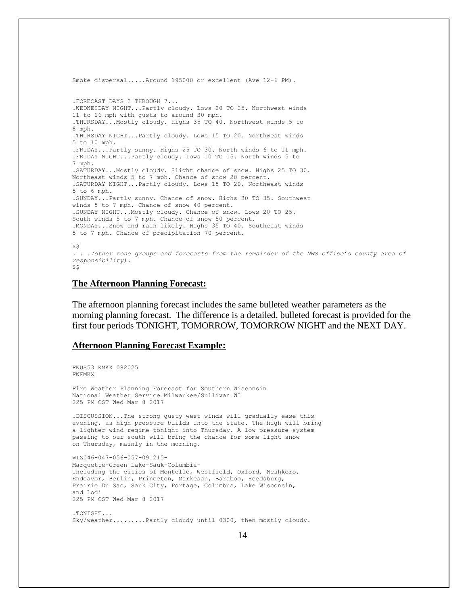Smoke dispersal.....Around 195000 or excellent (Ave 12-6 PM).

.FORECAST DAYS 3 THROUGH 7... .WEDNESDAY NIGHT...Partly cloudy. Lows 20 TO 25. Northwest winds 11 to 16 mph with gusts to around 30 mph. .THURSDAY...Mostly cloudy. Highs 35 TO 40. Northwest winds 5 to 8 mph. .THURSDAY NIGHT...Partly cloudy. Lows 15 TO 20. Northwest winds 5 to 10 mph. .FRIDAY...Partly sunny. Highs 25 TO 30. North winds 6 to 11 mph. .FRIDAY NIGHT...Partly cloudy. Lows 10 TO 15. North winds 5 to 7 mph. .SATURDAY...Mostly cloudy. Slight chance of snow. Highs 25 TO 30. Northeast winds 5 to 7 mph. Chance of snow 20 percent. .SATURDAY NIGHT...Partly cloudy. Lows 15 TO 20. Northeast winds 5 to 6 mph. .SUNDAY...Partly sunny. Chance of snow. Highs 30 TO 35. Southwest winds 5 to 7 mph. Chance of snow 40 percent. .SUNDAY NIGHT...Mostly cloudy. Chance of snow. Lows 20 TO 25. South winds 5 to 7 mph. Chance of snow 50 percent. .MONDAY...Snow and rain likely. Highs 35 TO 40. Southeast winds 5 to 7 mph. Chance of precipitation 70 percent.  $S\$ *. . .(other zone groups and forecasts from the remainder of the NWS office's county area of responsibility).*   $$S$ 

#### **The Afternoon Planning Forecast:**

The afternoon planning forecast includes the same bulleted weather parameters as the morning planning forecast. The difference is a detailed, bulleted forecast is provided for the first four periods TONIGHT, TOMORROW, TOMORROW NIGHT and the NEXT DAY.

#### **Afternoon Planning Forecast Example:**

```
FNUS53 KMKX 082025
FWFMKX
Fire Weather Planning Forecast for Southern Wisconsin
National Weather Service Milwaukee/Sullivan WI
225 PM CST Wed Mar 8 2017
.DISCUSSION...The strong gusty west winds will gradually ease this
evening, as high pressure builds into the state. The high will bring
a lighter wind regime tonight into Thursday. A low pressure system
passing to our south will bring the chance for some light snow
on Thursday, mainly in the morning.
WIZ046-047-056-057-091215-
Marquette-Green Lake-Sauk-Columbia-
Including the cities of Montello, Westfield, Oxford, Neshkoro,
Endeavor, Berlin, Princeton, Markesan, Baraboo, Reedsburg,
Prairie Du Sac, Sauk City, Portage, Columbus, Lake Wisconsin,
and Lodi
225 PM CST Wed Mar 8 2017
.TONIGHT...
Sky/weather.........Partly cloudy until 0300, then mostly cloudy.
```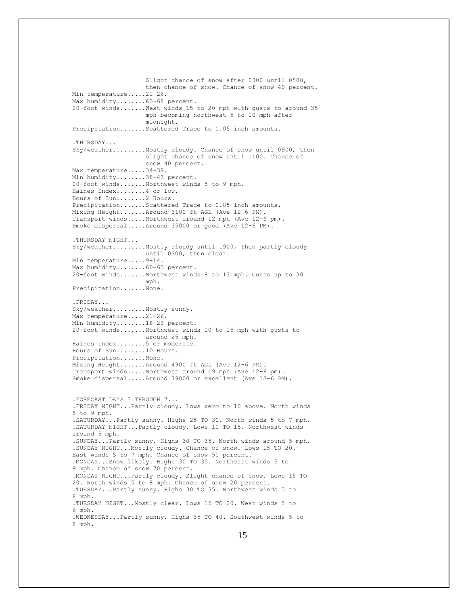Slight chance of snow after 0300 until 0500, then chance of snow. Chance of snow 40 percent. Min temperature.....21-26. Max humidity........63-68 percent. 20-foot winds.......West winds 15 to 20 mph with gusts to around 35 mph becoming northwest 5 to 10 mph after midnight. Precipitation.......Scattered Trace to 0.05 inch amounts. .THURSDAY... Sky/weather.........Mostly cloudy. Chance of snow until 0900, then slight chance of snow until 1100. Chance of snow 40 percent. Max temperature.....34-39. Min humidity........38-43 percent. 20-foot winds.......Northwest winds 5 to 9 mph. Haines Index........4 or low. Hours of Sun........2 Hours. Precipitation.......Scattered Trace to 0.05 inch amounts. Mixing Height.......Around 3100 ft AGL (Ave 12-6 PM). Transport winds.....Northwest around 12 mph (Ave 12-6 pm). Smoke dispersal.....Around 35000 or good (Ave 12-6 PM). .THURSDAY NIGHT... Sky/weather.........Mostly cloudy until 1900, then partly cloudy until 0300, then clear. Min temperature.....9-14. Max humidity........60-65 percent. 20-foot winds.......Northwest winds 8 to 13 mph. Gusts up to 30 mph. Precipitation.......None. .FRIDAY... Sky/weather.........Mostly sunny. Max temperature.....21-26. Min humidity........18-23 percent. 20-foot winds.......Northwest winds 10 to 15 mph with gusts to around 25 mph. Haines Index........5 or moderate. Hours of Sun........10 Hours. Precipitation.......None. Mixing Height.......Around 4900 ft AGL (Ave 12-6 PM). Transport winds.....Northwest around 19 mph (Ave 12-6 pm). Smoke dispersal.....Around 79000 or excellent (Ave 12-6 PM). .FORECAST DAYS 3 THROUGH 7... .FRIDAY NIGHT...Partly cloudy. Lows zero to 10 above. North winds 5 to 9 mph. .SATURDAY...Partly sunny. Highs 25 TO 30. North winds 5 to 7 mph. .SATURDAY NIGHT...Partly cloudy. Lows 10 TO 15. Northwest winds around 5 mph. .SUNDAY...Partly sunny. Highs 30 TO 35. North winds around 5 mph. .SUNDAY NIGHT...Mostly cloudy. Chance of snow. Lows 15 TO 20. East winds 5 to 7 mph. Chance of snow 50 percent. .MONDAY...Snow likely. Highs 30 TO 35. Northeast winds 5 to 9 mph. Chance of snow 70 percent. .MONDAY NIGHT...Partly cloudy. Slight chance of snow. Lows 15 TO 20. North winds 5 to 8 mph. Chance of snow 20 percent. .TUESDAY...Partly sunny. Highs 30 TO 35. Northwest winds 5 to 8 mph. .TUESDAY NIGHT...Mostly clear. Lows 15 TO 20. West winds 5 to 6 mph. .WEDNESDAY...Partly sunny. Highs 35 TO 40. Southwest winds 5 to 8 mph.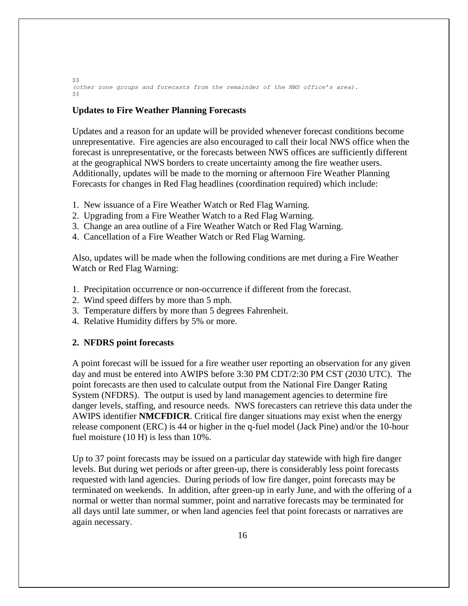\$\$ *(other zone groups and forecasts from the remainder of the NWS office's area).*  $S<sub>S</sub>$ 

#### **Updates to Fire Weather Planning Forecasts**

Updates and a reason for an update will be provided whenever forecast conditions become unrepresentative. Fire agencies are also encouraged to call their local NWS office when the forecast is unrepresentative, or the forecasts between NWS offices are sufficiently different at the geographical NWS borders to create uncertainty among the fire weather users. Additionally, updates will be made to the morning or afternoon Fire Weather Planning Forecasts for changes in Red Flag headlines (coordination required) which include:

- 1. New issuance of a Fire Weather Watch or Red Flag Warning.
- 2. Upgrading from a Fire Weather Watch to a Red Flag Warning.
- 3. Change an area outline of a Fire Weather Watch or Red Flag Warning.
- 4. Cancellation of a Fire Weather Watch or Red Flag Warning.

Also, updates will be made when the following conditions are met during a Fire Weather Watch or Red Flag Warning:

- 1. Precipitation occurrence or non-occurrence if different from the forecast.
- 2. Wind speed differs by more than 5 mph.
- 3. Temperature differs by more than 5 degrees Fahrenheit.
- 4. Relative Humidity differs by 5% or more.

#### **2. NFDRS point forecasts**

A point forecast will be issued for a fire weather user reporting an observation for any given day and must be entered into AWIPS before 3:30 PM CDT/2:30 PM CST (2030 UTC). The point forecasts are then used to calculate output from the National Fire Danger Rating System (NFDRS). The output is used by land management agencies to determine fire danger levels, staffing, and resource needs. NWS forecasters can retrieve this data under the AWIPS identifier **NMCFDICR**. Critical fire danger situations may exist when the energy release component (ERC) is 44 or higher in the q-fuel model (Jack Pine) and/or the 10-hour fuel moisture (10 H) is less than 10%.

Up to 37 point forecasts may be issued on a particular day statewide with high fire danger levels. But during wet periods or after green-up, there is considerably less point forecasts requested with land agencies. During periods of low fire danger, point forecasts may be terminated on weekends. In addition, after green-up in early June, and with the offering of a normal or wetter than normal summer, point and narrative forecasts may be terminated for all days until late summer, or when land agencies feel that point forecasts or narratives are again necessary.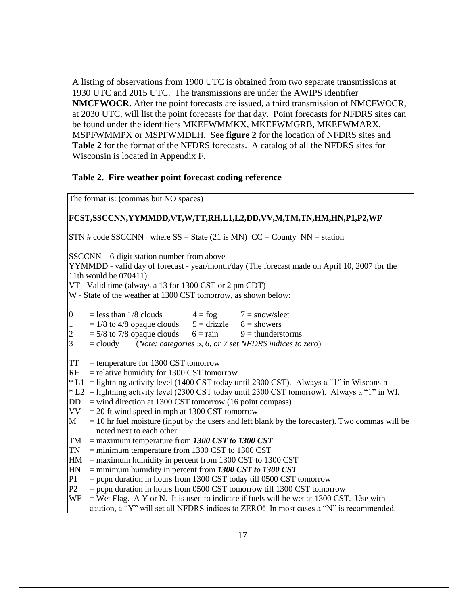A listing of observations from 1900 UTC is obtained from two separate transmissions at 1930 UTC and 2015 UTC. The transmissions are under the AWIPS identifier **NMCFWOCR**. After the point forecasts are issued, a third transmission of NMCFWOCR, at 2030 UTC, will list the point forecasts for that day. Point forecasts for NFDRS sites can be found under the identifiers MKEFWMMKX, MKEFWMGRB, MKEFWMARX, MSPFWMMPX or MSPFWMDLH. See **figure 2** for the location of NFDRS sites and **Table 2** for the format of the NFDRS forecasts. A catalog of all the NFDRS sites for Wisconsin is located in Appendix F.

#### **Table 2. Fire weather point forecast coding reference**

The format is: (commas but NO spaces)

#### **FCST,SSCCNN,YYMMDD,VT,W,TT,RH,L1,L2,DD,VV,M,TM,TN,HM,HN,P1,P2,WF**

 $STN \# code SSCCNN$  where  $SS = State (21 is MN) CC = County NN = station$ 

SSCCNN – 6-digit station number from above

YYMMDD - valid day of forecast - year/month/day (The forecast made on April 10, 2007 for the 11th would be 070411)

VT - Valid time (always a 13 for 1300 CST or 2 pm CDT)

W - State of the weather at 1300 CST tomorrow, as shown below:

| $=$ less than 1/8 clouds | $7 =$ snow/sleet<br>$4 = f \circ g$ |
|--------------------------|-------------------------------------|
|--------------------------|-------------------------------------|

| $= 1/8$ to 4/8 opaque clouds | $5 = \text{drizable}$ $8 = \text{shows}$ |  |
|------------------------------|------------------------------------------|--|

- $2 = 5/8$  to 7/8 opaque clouds  $6 = \text{rain}$  9 = thunderstorms
- 3 = cloudy (*Note: categories 5, 6, or 7 set NFDRS indices to zero*)
- $TT = temperature for 1300  $CST$  tomorrow$
- $RH$  = relative humidity for 1300 CST tomorrow
- \* L1 = lightning activity level (1400 CST today until 2300 CST). Always a "1" in Wisconsin
- \* L2 = lightning activity level (2300 CST today until 2300 CST tomorrow). Always a "1" in WI.
- $DD = wind direction at 1300 \, \text{CST}$  tomorrow (16 point compass)
- $VV = 20$  ft wind speed in mph at 1300 CST tomorrow
- $M = 10$  hr fuel moisture (input by the users and left blank by the forecaster). Two commas will be noted next to each other
- TM = maximum temperature from *1300 CST to 1300 CST*
- $TN =$  minimum temperature from 1300 CST to 1300 CST
- $HM = maximum$  humidity in percent from 1300 CST to 1300 CST
- HN = minimum humidity in percent from *1300 CST to 1300 CST*
- $P1 =$  pcpn duration in hours from 1300 CST today till 0500 CST tomorrow
- $P2 =$  pcpn duration in hours from 0500 CST tomorrow till 1300 CST tomorrow
- $WF$  = Wet Flag. A Y or N. It is used to indicate if fuels will be wet at 1300 CST. Use with

caution, a "Y" will set all NFDRS indices to ZERO! In most cases a "N" is recommended.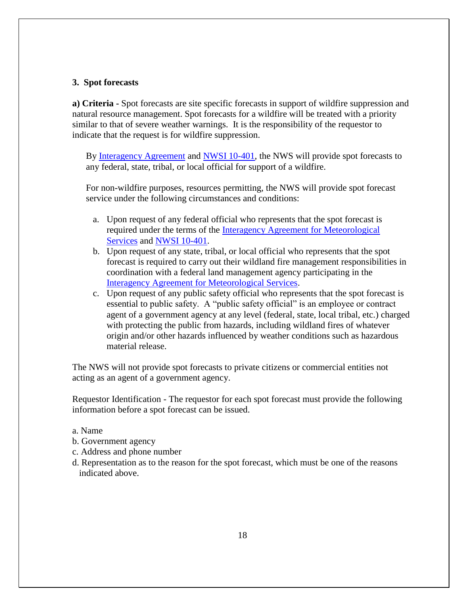#### **3. Spot forecasts**

**a) Criteria -** Spot forecasts are site specific forecasts in support of wildfire suppression and natural resource management. Spot forecasts for a wildfire will be treated with a priority similar to that of severe weather warnings. It is the responsibility of the requestor to indicate that the request is for wildfire suppression.

By [Interagency Agreement](https://www.weather.gov/media/akq/fire/2017_National_Agreement.pdf) and [NWSI 10-401,](http://www.nws.noaa.gov/directives/sym/pd01004001curr.pdf) the NWS will provide spot forecasts to any federal, state, tribal, or local official for support of a wildfire.

For non-wildfire purposes, resources permitting, the NWS will provide spot forecast service under the following circumstances and conditions:

- a. Upon request of any federal official who represents that the spot forecast is required under the terms of the [Interagency Agreement for Meteorological](https://www.weather.gov/media/akq/fire/2017_National_Agreement.pdf)  [Services](https://www.weather.gov/media/akq/fire/2017_National_Agreement.pdf) and [NWSI 10-401.](http://www.nws.noaa.gov/directives/sym/pd01004001curr.pdf)
- b. Upon request of any state, tribal, or local official who represents that the spot forecast is required to carry out their wildland fire management responsibilities in coordination with a federal land management agency participating in the [Interagency Agreement for Meteorological Services.](https://www.weather.gov/media/akq/fire/2017_National_Agreement.pdf)
- c. Upon request of any public safety official who represents that the spot forecast is essential to public safety. A "public safety official" is an employee or contract agent of a government agency at any level (federal, state, local tribal, etc.) charged with protecting the public from hazards, including wildland fires of whatever origin and/or other hazards influenced by weather conditions such as hazardous material release.

The NWS will not provide spot forecasts to private citizens or commercial entities not acting as an agent of a government agency.

Requestor Identification - The requestor for each spot forecast must provide the following information before a spot forecast can be issued.

- a. Name
- b. Government agency
- c. Address and phone number
- d. Representation as to the reason for the spot forecast, which must be one of the reasons indicated above.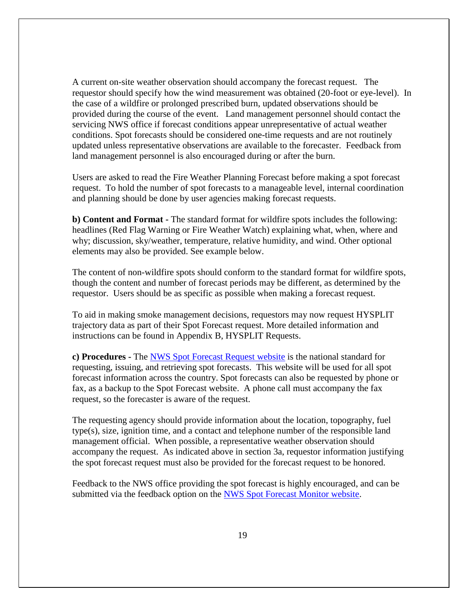A current on-site weather observation should accompany the forecast request. The requestor should specify how the wind measurement was obtained (20-foot or eye-level). In the case of a wildfire or prolonged prescribed burn, updated observations should be provided during the course of the event. Land management personnel should contact the servicing NWS office if forecast conditions appear unrepresentative of actual weather conditions. Spot forecasts should be considered one-time requests and are not routinely updated unless representative observations are available to the forecaster. Feedback from land management personnel is also encouraged during or after the burn.

Users are asked to read the Fire Weather Planning Forecast before making a spot forecast request. To hold the number of spot forecasts to a manageable level, internal coordination and planning should be done by user agencies making forecast requests.

**b) Content and Format -** The standard format for wildfire spots includes the following: headlines (Red Flag Warning or Fire Weather Watch) explaining what, when, where and why; discussion, sky/weather, temperature, relative humidity, and wind. Other optional elements may also be provided. See example below.

The content of non-wildfire spots should conform to the standard format for wildfire spots, though the content and number of forecast periods may be different, as determined by the requestor. Users should be as specific as possible when making a forecast request.

To aid in making smoke management decisions, requestors may now request HYSPLIT trajectory data as part of their Spot Forecast request. More detailed information and instructions can be found in Appendix B, HYSPLIT Requests.

**c) Procedures -** The NWS Spot [Forecast Request website](http://www.weather.gov/spot/) is the national standard for requesting, issuing, and retrieving spot forecasts. This website will be used for all spot forecast information across the country. Spot forecasts can also be requested by phone or fax, as a backup to the Spot Forecast website. A phone call must accompany the fax request, so the forecaster is aware of the request.

The requesting agency should provide information about the location, topography, fuel type(s), size, ignition time, and a contact and telephone number of the responsible land management official. When possible, a representative weather observation should accompany the request. As indicated above in section 3a, requestor information justifying the spot forecast request must also be provided for the forecast request to be honored.

Feedback to the NWS office providing the spot forecast is highly encouraged, and can be submitted via the feedback option on the [NWS Spot Forecast Monitor website.](http://www.weather.gov/spot/)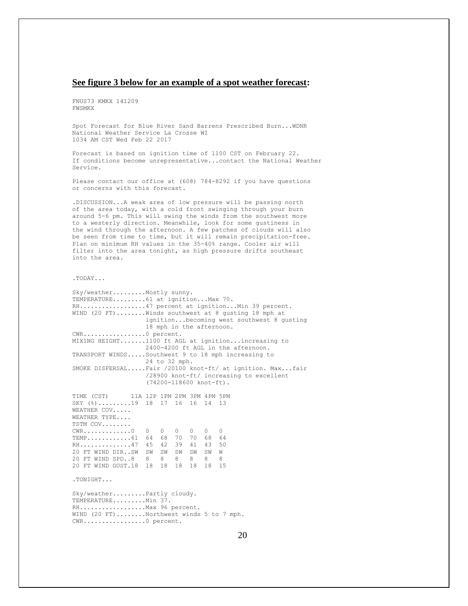#### **See figure 3 below for an example of a spot weather forecast:**

FNUS73 KMKX 141209 FWSMKX

Spot Forecast for Blue River Sand Barrens Prescribed Burn...WDNR National Weather Service La Crosse WI 1034 AM CST Wed Feb 22 2017

Forecast is based on ignition time of 1100 CST on February 22. If conditions become unrepresentative...contact the National Weather Service.

Please contact our office at (608) 784-8292 if you have questions or concerns with this forecast.

.DISCUSSION...A weak area of low pressure will be passing north of the area today, with a cold front swinging through your burn around 5-6 pm. This will swing the winds from the southwest more to a westerly direction. Meanwhile, look for some gustiness in the wind through the afternoon. A few patches of clouds will also be seen from time to time, but it will remain precipitation-free. Plan on minimum RH values in the 35-40% range. Cooler air will filter into the area tonight, as high pressure drifts southeast into the area.

#### .TODAY...

| Sky/weatherMostly sunny.                           |  |          |       |                         |          |       |                                                          |
|----------------------------------------------------|--|----------|-------|-------------------------|----------|-------|----------------------------------------------------------|
| TEMPERATURE 61 at ignition Max 70.                 |  |          |       |                         |          |       |                                                          |
|                                                    |  |          |       |                         |          |       | RH47 percent at ignitionMin 39 percent.                  |
|                                                    |  |          |       |                         |          |       | WIND (20 FT)Winds southwest at 8 qusting 18 mph at       |
|                                                    |  |          |       |                         |          |       | ignitionbecoming west southwest 8 qusting                |
|                                                    |  |          |       |                         |          |       | 18 mph in the afternoon.                                 |
| CWR0 percent.                                      |  |          |       |                         |          |       |                                                          |
|                                                    |  |          |       |                         |          |       | MIXING HEIGHT1100 ft AGL at ignitionincreasing to        |
|                                                    |  |          |       |                         |          |       | 2400-4200 ft AGL in the afternoon.                       |
| TRANSPORT WINDSSouthwest 9 to 18 mph increasing to |  |          |       |                         |          |       |                                                          |
|                                                    |  |          |       | 24 to 32 mph.           |          |       |                                                          |
|                                                    |  |          |       |                         |          |       | SMOKE DISPERSALFair /20100 knot-ft/ at ignition. Maxfair |
|                                                    |  |          |       |                         |          |       | /28900 knot-ft/ increasing to excellent                  |
|                                                    |  |          |       | (74200-118600 knot-ft). |          |       |                                                          |
|                                                    |  |          |       |                         |          |       |                                                          |
| TIME (CST) 11A 12P 1PM 2PM 3PM 4PM 5PM             |  |          |       |                         |          |       |                                                          |
| SKY (%)19 18 17 16 16 14                           |  |          |       |                         |          |       | 13                                                       |
| WEATHER COV                                        |  |          |       |                         |          |       |                                                          |
| WEATHER TYPE                                       |  |          |       |                         |          |       |                                                          |
| TSTM COV                                           |  |          |       |                         |          |       |                                                          |
| $CWR$ 0                                            |  | $\Omega$ |       | $0\quad 0\quad 0$       |          | 0     | 0                                                        |
| $TEMP$ 61                                          |  | 64       | 68 70 |                         | 70 68 64 |       |                                                          |
| RH47                                               |  | 45       | 42 39 |                         | 41       | 43 50 |                                                          |
| 20 FT WIND DIRSW                                   |  | SW       | SW SW |                         | SW       | SW    | W                                                        |
| 20 FT WIND SPD8 8                                  |  |          | 8     | 8                       | 8        | 8 8   |                                                          |
| 20 FT WIND GUST.18 18                              |  |          | 18    | 18                      | 18       | 18    | 15                                                       |
|                                                    |  |          |       |                         |          |       |                                                          |
| .TONIGHT                                           |  |          |       |                         |          |       |                                                          |
|                                                    |  |          |       |                         |          |       |                                                          |
| Sky/weatherPartly cloudy.                          |  |          |       |                         |          |       |                                                          |
| TEMPERATUREMin 37.                                 |  |          |       |                         |          |       |                                                          |
|                                                    |  |          |       |                         |          |       |                                                          |
| RHMax 96 percent.                                  |  |          |       |                         |          |       |                                                          |
| WIND (20 FT)Northwest winds 5 to 7 mph.            |  |          |       |                         |          |       |                                                          |

CWR.................0 percent.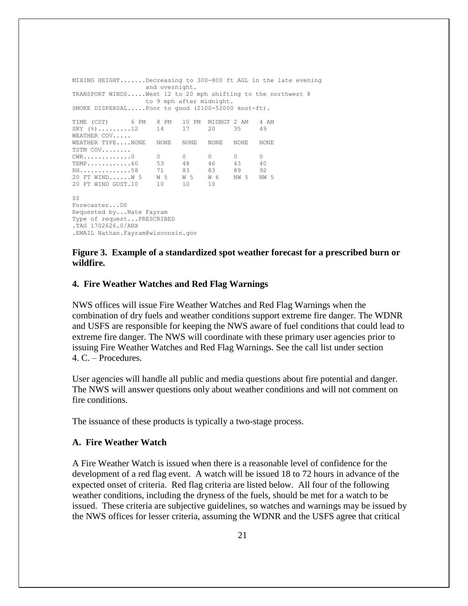```
MIXING HEIGHT.......Decreasing to 300-800 ft AGL in the late evening
                 and overnight. 
TRANSPORT WINDS.....West 12 to 20 mph shifting to the northwest 8 
                 to 9 mph after midnight. 
SMOKE DISPERSAL.....Poor to good (2100-52000 knot-ft). 
TIME (CST) 6 PM 8 PM 10 PM MIDNGT 2 AM 4 AM 
SKY (%).........12 14 17 20 35 49
WEATHER COV..... 
WEATHER TYPE....NONE NONE NONE NONE NONE NONE 
TSTM COV.........<br>CWR.............0
CWR.............0 0 0 0 0 0 
TEMP............60 53 48 46 43 40 
RH...............58 71 83 83 89 92
20 FT WIND......W 5 W 5 W 5 W 6 NW 5 NW 5 
20 FT WIND GUST.10 10 10 10 
SSForecaster...DS
Requested by...Nate Fayram
Type of request...PRESCRIBED
.TAG 1702626.0/ARX
.EMAIL Nathan.Fayram@wisconsin.gov
```
#### **Figure 3. Example of a standardized spot weather forecast for a prescribed burn or wildfire.**

#### **4. Fire Weather Watches and Red Flag Warnings**

NWS offices will issue Fire Weather Watches and Red Flag Warnings when the combination of dry fuels and weather conditions support extreme fire danger. The WDNR and USFS are responsible for keeping the NWS aware of fuel conditions that could lead to extreme fire danger. The NWS will coordinate with these primary user agencies prior to issuing Fire Weather Watches and Red Flag Warnings. See the call list under section 4. C. – Procedures.

User agencies will handle all public and media questions about fire potential and danger. The NWS will answer questions only about weather conditions and will not comment on fire conditions.

The issuance of these products is typically a two-stage process.

#### **A. Fire Weather Watch**

A Fire Weather Watch is issued when there is a reasonable level of confidence for the development of a red flag event. A watch will be issued 18 to 72 hours in advance of the expected onset of criteria. Red flag criteria are listed below. All four of the following weather conditions, including the dryness of the fuels, should be met for a watch to be issued. These criteria are subjective guidelines, so watches and warnings may be issued by the NWS offices for lesser criteria, assuming the WDNR and the USFS agree that critical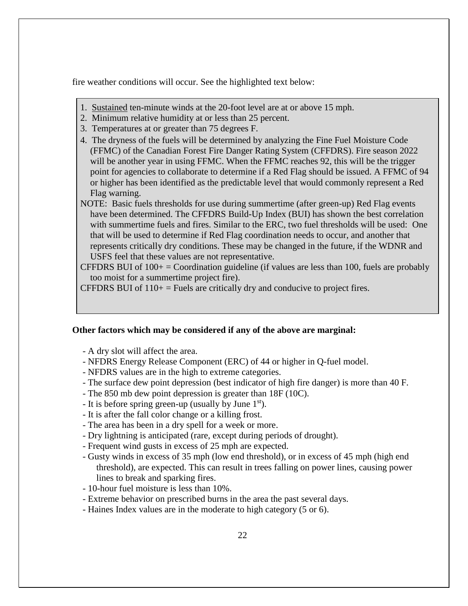fire weather conditions will occur. See the highlighted text below:

- 1. Sustained ten-minute winds at the 20-foot level are at or above 15 mph.
- 2. Minimum relative humidity at or less than 25 percent.
- 3. Temperatures at or greater than 75 degrees F.
- 4. The dryness of the fuels will be determined by analyzing the Fine Fuel Moisture Code (FFMC) of the Canadian Forest Fire Danger Rating System (CFFDRS). Fire season 2022 will be another year in using FFMC. When the FFMC reaches 92, this will be the trigger point for agencies to collaborate to determine if a Red Flag should be issued. A FFMC of 94 or higher has been identified as the predictable level that would commonly represent a Red Flag warning.
- NOTE: Basic fuels thresholds for use during summertime (after green-up) Red Flag events have been determined. The CFFDRS Build-Up Index (BUI) has shown the best correlation with summertime fuels and fires. Similar to the ERC, two fuel thresholds will be used: One that will be used to determine if Red Flag coordination needs to occur, and another that represents critically dry conditions. These may be changed in the future, if the WDNR and USFS feel that these values are not representative.

CFFDRS BUI of  $100<sub>+</sub> =$  Coordination guideline (if values are less than 100, fuels are probably too moist for a summertime project fire).

CFFDRS BUI of  $110+$  = Fuels are critically dry and conducive to project fires.

#### **Other factors which may be considered if any of the above are marginal:**

- A dry slot will affect the area.

- NFDRS Energy Release Component (ERC) of 44 or higher in Q-fuel model.
- NFDRS values are in the high to extreme categories.
- The surface dew point depression (best indicator of high fire danger) is more than 40 F.
- The 850 mb dew point depression is greater than 18F (10C).
- It is before spring green-up (usually by June  $1<sup>st</sup>$ ).
- It is after the fall color change or a killing frost.
- The area has been in a dry spell for a week or more.
- Dry lightning is anticipated (rare, except during periods of drought).
- Frequent wind gusts in excess of 25 mph are expected.
- Gusty winds in excess of 35 mph (low end threshold), or in excess of 45 mph (high end threshold), are expected. This can result in trees falling on power lines, causing power lines to break and sparking fires.
- 10-hour fuel moisture is less than 10%.
- Extreme behavior on prescribed burns in the area the past several days.
- Haines Index values are in the moderate to high category (5 or 6).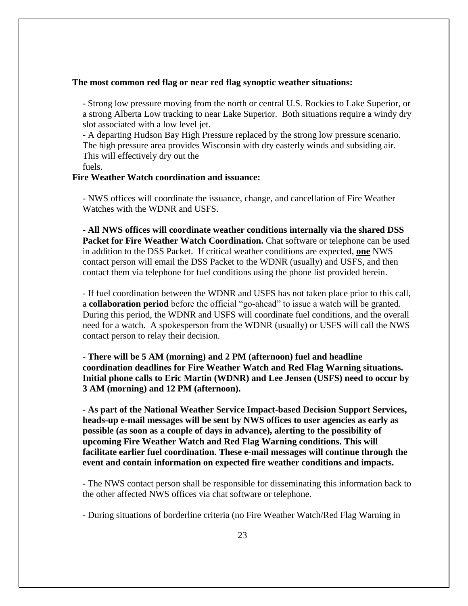#### **The most common red flag or near red flag synoptic weather situations:**

- Strong low pressure moving from the north or central U.S. Rockies to Lake Superior, or a strong Alberta Low tracking to near Lake Superior. Both situations require a windy dry slot associated with a low level jet.

- A departing Hudson Bay High Pressure replaced by the strong low pressure scenario. The high pressure area provides Wisconsin with dry easterly winds and subsiding air. This will effectively dry out the

fuels.

#### **Fire Weather Watch coordination and issuance:**

- NWS offices will coordinate the issuance, change, and cancellation of Fire Weather Watches with the WDNR and USFS.

- **All NWS offices will coordinate weather conditions internally via the shared DSS Packet for Fire Weather Watch Coordination.** Chat software or telephone can be used in addition to the DSS Packet. If critical weather conditions are expected, **one** NWS contact person will email the DSS Packet to the WDNR (usually) and USFS, and then contact them via telephone for fuel conditions using the phone list provided herein.

- If fuel coordination between the WDNR and USFS has not taken place prior to this call, a **collaboration period** before the official "go-ahead" to issue a watch will be granted. During this period, the WDNR and USFS will coordinate fuel conditions, and the overall need for a watch. A spokesperson from the WDNR (usually) or USFS will call the NWS contact person to relay their decision.

- **There will be 5 AM (morning) and 2 PM (afternoon) fuel and headline coordination deadlines for Fire Weather Watch and Red Flag Warning situations. Initial phone calls to Eric Martin (WDNR) and Lee Jensen (USFS) need to occur by 3 AM (morning) and 12 PM (afternoon).**

- **As part of the National Weather Service Impact-based Decision Support Services, heads-up e-mail messages will be sent by NWS offices to user agencies as early as possible (as soon as a couple of days in advance), alerting to the possibility of upcoming Fire Weather Watch and Red Flag Warning conditions. This will facilitate earlier fuel coordination. These e-mail messages will continue through the event and contain information on expected fire weather conditions and impacts.** 

- The NWS contact person shall be responsible for disseminating this information back to the other affected NWS offices via chat software or telephone.

- During situations of borderline criteria (no Fire Weather Watch/Red Flag Warning in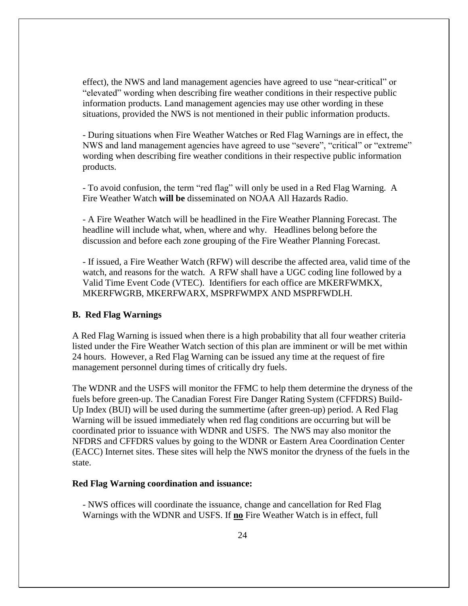effect), the NWS and land management agencies have agreed to use "near-critical" or "elevated" wording when describing fire weather conditions in their respective public information products. Land management agencies may use other wording in these situations, provided the NWS is not mentioned in their public information products.

- During situations when Fire Weather Watches or Red Flag Warnings are in effect, the NWS and land management agencies have agreed to use "severe", "critical" or "extreme" wording when describing fire weather conditions in their respective public information products.

- To avoid confusion, the term "red flag" will only be used in a Red Flag Warning. A Fire Weather Watch **will be** disseminated on NOAA All Hazards Radio.

- A Fire Weather Watch will be headlined in the Fire Weather Planning Forecast. The headline will include what, when, where and why. Headlines belong before the discussion and before each zone grouping of the Fire Weather Planning Forecast.

- If issued, a Fire Weather Watch (RFW) will describe the affected area, valid time of the watch, and reasons for the watch. A RFW shall have a UGC coding line followed by a Valid Time Event Code (VTEC). Identifiers for each office are MKERFWMKX, MKERFWGRB, MKERFWARX, MSPRFWMPX AND MSPRFWDLH.

#### **B. Red Flag Warnings**

A Red Flag Warning is issued when there is a high probability that all four weather criteria listed under the Fire Weather Watch section of this plan are imminent or will be met within 24 hours. However, a Red Flag Warning can be issued any time at the request of fire management personnel during times of critically dry fuels.

The WDNR and the USFS will monitor the FFMC to help them determine the dryness of the fuels before green-up. The Canadian Forest Fire Danger Rating System (CFFDRS) Build-Up Index (BUI) will be used during the summertime (after green-up) period. A Red Flag Warning will be issued immediately when red flag conditions are occurring but will be coordinated prior to issuance with WDNR and USFS. The NWS may also monitor the NFDRS and CFFDRS values by going to the WDNR or Eastern Area Coordination Center (EACC) Internet sites. These sites will help the NWS monitor the dryness of the fuels in the state.

#### **Red Flag Warning coordination and issuance:**

- NWS offices will coordinate the issuance, change and cancellation for Red Flag Warnings with the WDNR and USFS. If **no** Fire Weather Watch is in effect, full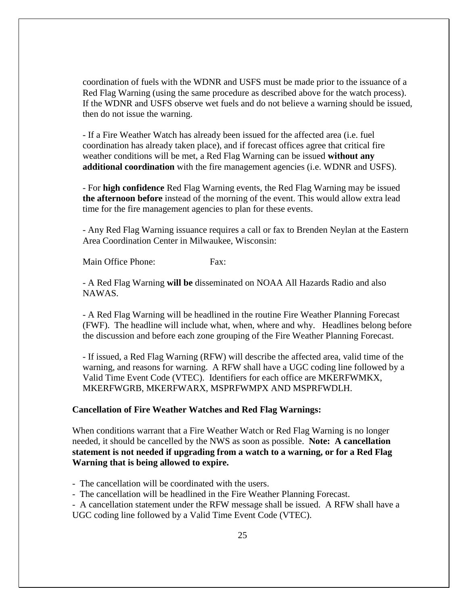coordination of fuels with the WDNR and USFS must be made prior to the issuance of a Red Flag Warning (using the same procedure as described above for the watch process). If the WDNR and USFS observe wet fuels and do not believe a warning should be issued, then do not issue the warning.

- If a Fire Weather Watch has already been issued for the affected area (i.e. fuel coordination has already taken place), and if forecast offices agree that critical fire weather conditions will be met, a Red Flag Warning can be issued **without any additional coordination** with the fire management agencies (i.e. WDNR and USFS).

- For **high confidence** Red Flag Warning events, the Red Flag Warning may be issued **the afternoon before** instead of the morning of the event. This would allow extra lead time for the fire management agencies to plan for these events.

- Any Red Flag Warning issuance requires a call or fax to Brenden Neylan at the Eastern Area Coordination Center in Milwaukee, Wisconsin:

Main Office Phone: Fax:

- A Red Flag Warning **will be** disseminated on NOAA All Hazards Radio and also NAWAS.

- A Red Flag Warning will be headlined in the routine Fire Weather Planning Forecast (FWF). The headline will include what, when, where and why. Headlines belong before the discussion and before each zone grouping of the Fire Weather Planning Forecast.

- If issued, a Red Flag Warning (RFW) will describe the affected area, valid time of the warning, and reasons for warning. A RFW shall have a UGC coding line followed by a Valid Time Event Code (VTEC). Identifiers for each office are MKERFWMKX, MKERFWGRB, MKERFWARX, MSPRFWMPX AND MSPRFWDLH.

#### **Cancellation of Fire Weather Watches and Red Flag Warnings:**

When conditions warrant that a Fire Weather Watch or Red Flag Warning is no longer needed, it should be cancelled by the NWS as soon as possible. **Note: A cancellation statement is not needed if upgrading from a watch to a warning, or for a Red Flag Warning that is being allowed to expire.**

- The cancellation will be coordinated with the users.

- The cancellation will be headlined in the Fire Weather Planning Forecast.

- A cancellation statement under the RFW message shall be issued. A RFW shall have a UGC coding line followed by a Valid Time Event Code (VTEC).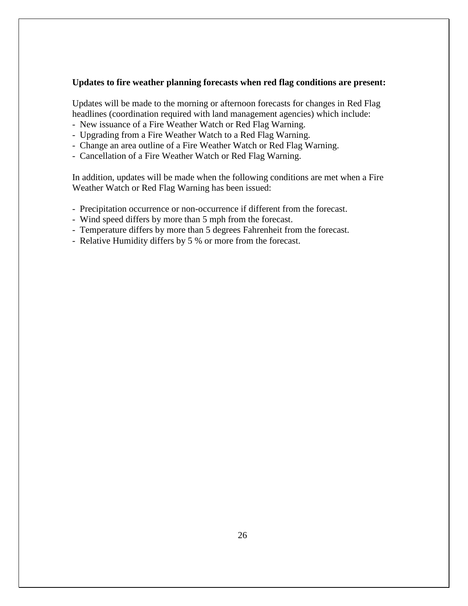#### **Updates to fire weather planning forecasts when red flag conditions are present:**

Updates will be made to the morning or afternoon forecasts for changes in Red Flag headlines (coordination required with land management agencies) which include:

- New issuance of a Fire Weather Watch or Red Flag Warning.
- Upgrading from a Fire Weather Watch to a Red Flag Warning.
- Change an area outline of a Fire Weather Watch or Red Flag Warning.
- Cancellation of a Fire Weather Watch or Red Flag Warning.

In addition, updates will be made when the following conditions are met when a Fire Weather Watch or Red Flag Warning has been issued:

- Precipitation occurrence or non-occurrence if different from the forecast.
- Wind speed differs by more than 5 mph from the forecast.
- Temperature differs by more than 5 degrees Fahrenheit from the forecast.
- Relative Humidity differs by 5 % or more from the forecast.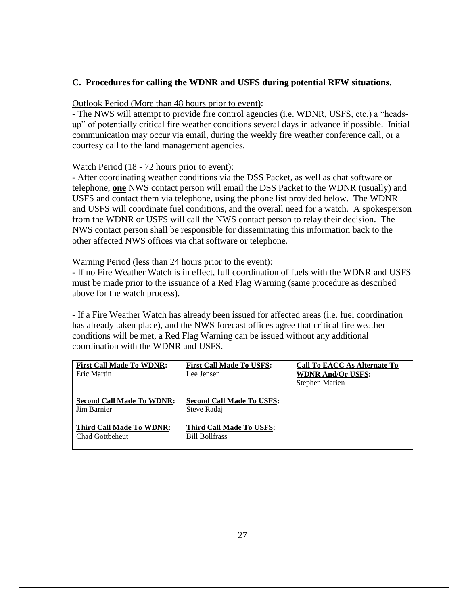#### **C. Procedures for calling the WDNR and USFS during potential RFW situations.**

#### Outlook Period (More than 48 hours prior to event):

- The NWS will attempt to provide fire control agencies (i.e. WDNR, USFS, etc.) a "headsup" of potentially critical fire weather conditions several days in advance if possible. Initial communication may occur via email, during the weekly fire weather conference call, or a courtesy call to the land management agencies.

#### Watch Period (18 - 72 hours prior to event):

- After coordinating weather conditions via the DSS Packet, as well as chat software or telephone, **one** NWS contact person will email the DSS Packet to the WDNR (usually) and USFS and contact them via telephone, using the phone list provided below. The WDNR and USFS will coordinate fuel conditions, and the overall need for a watch. A spokesperson from the WDNR or USFS will call the NWS contact person to relay their decision. The NWS contact person shall be responsible for disseminating this information back to the other affected NWS offices via chat software or telephone.

#### Warning Period (less than 24 hours prior to the event):

- If no Fire Weather Watch is in effect, full coordination of fuels with the WDNR and USFS must be made prior to the issuance of a Red Flag Warning (same procedure as described above for the watch process).

- If a Fire Weather Watch has already been issued for affected areas (i.e. fuel coordination has already taken place), and the NWS forecast offices agree that critical fire weather conditions will be met, a Red Flag Warning can be issued without any additional coordination with the WDNR and USFS.

| <b>First Call Made To WDNR:</b>  | <b>First Call Made To USFS:</b>  | <b>Call To EACC As Alternate To</b> |
|----------------------------------|----------------------------------|-------------------------------------|
| Eric Martin                      | Lee Jensen                       | <b>WDNR And/Or USFS:</b>            |
|                                  |                                  | <b>Stephen Marien</b>               |
|                                  |                                  |                                     |
| <b>Second Call Made To WDNR:</b> | <b>Second Call Made To USFS:</b> |                                     |
| Jim Barnier                      | Steve Radaj                      |                                     |
|                                  |                                  |                                     |
| <b>Third Call Made To WDNR:</b>  | Third Call Made To USFS:         |                                     |
| <b>Chad Gottbeheut</b>           | <b>Bill Bollfrass</b>            |                                     |
|                                  |                                  |                                     |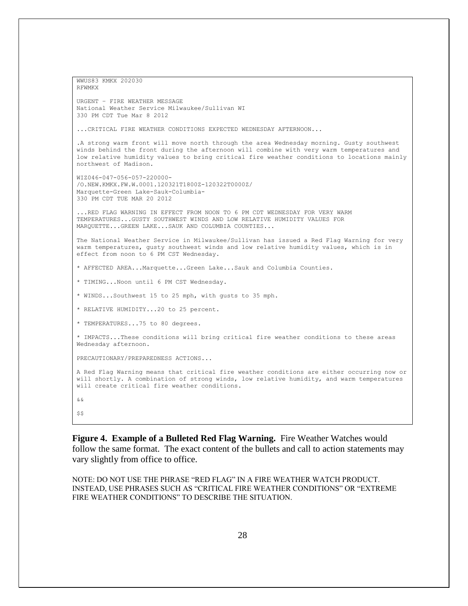WWUS83 KMKX 202030 RFWMKX URGENT – FIRE WEATHER MESSAGE National Weather Service Milwaukee/Sullivan WI 330 PM CDT Tue Mar 8 2012 ...CRITICAL FIRE WEATHER CONDITIONS EXPECTED WEDNESDAY AFTERNOON... .A strong warm front will move north through the area Wednesday morning. Gusty southwest winds behind the front during the afternoon will combine with very warm temperatures and low relative humidity values to bring critical fire weather conditions to locations mainly northwest of Madison. WIZ046-047-056-057-220000- /O.NEW.KMKX.FW.W.0001.120321T1800Z-120322T0000Z/ Marquette-Green Lake-Sauk-Columbia-330 PM CDT TUE MAR 20 2012 ...RED FLAG WARNING IN EFFECT FROM NOON TO 6 PM CDT WEDNESDAY FOR VERY WARM TEMPERATURES...GUSTY SOUTHWEST WINDS AND LOW RELATIVE HUMIDITY VALUES FOR MARQUETTE...GREEN LAKE...SAUK AND COLUMBIA COUNTIES... The National Weather Service in Milwaukee/Sullivan has issued a Red Flag Warning for very warm temperatures, gusty southwest winds and low relative humidity values, which is in effect from noon to 6 PM CST Wednesday. \* AFFECTED AREA...Marquette...Green Lake...Sauk and Columbia Counties. \* TIMING...Noon until 6 PM CST Wednesday. \* WINDS...Southwest 15 to 25 mph, with gusts to 35 mph. \* RELATIVE HUMIDITY...20 to 25 percent. TEMPERATURES...75 to 80 degrees. \* IMPACTS...These conditions will bring critical fire weather conditions to these areas Wednesday afternoon. PRECAUTIONARY/PREPAREDNESS ACTIONS... A Red Flag Warning means that critical fire weather conditions are either occurring now or will shortly. A combination of strong winds, low relative humidity, and warm temperatures will create critical fire weather conditions. && \$\$

**Figure 4. Example of a Bulleted Red Flag Warning.** Fire Weather Watches would follow the same format. The exact content of the bullets and call to action statements may vary slightly from office to office.

NOTE: DO NOT USE THE PHRASE "RED FLAG" IN A FIRE WEATHER WATCH PRODUCT. INSTEAD, USE PHRASES SUCH AS "CRITICAL FIRE WEATHER CONDITIONS" OR "EXTREME FIRE WEATHER CONDITIONS" TO DESCRIBE THE SITUATION.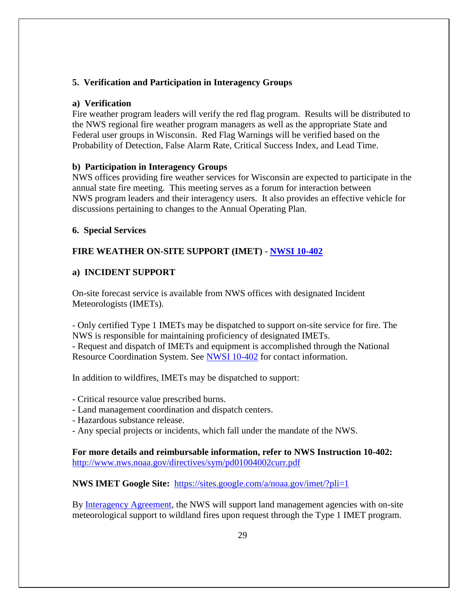### **5. Verification and Participation in Interagency Groups**

#### **a) Verification**

Fire weather program leaders will verify the red flag program. Results will be distributed to the NWS regional fire weather program managers as well as the appropriate State and Federal user groups in Wisconsin. Red Flag Warnings will be verified based on the Probability of Detection, False Alarm Rate, Critical Success Index, and Lead Time.

#### **b) Participation in Interagency Groups**

NWS offices providing fire weather services for Wisconsin are expected to participate in the annual state fire meeting. This meeting serves as a forum for interaction between NWS program leaders and their interagency users. It also provides an effective vehicle for discussions pertaining to changes to the Annual Operating Plan.

#### **6. Special Services**

### **FIRE WEATHER ON-SITE SUPPORT (IMET)** - **[NWSI 10-402](http://www.nws.noaa.gov/directives/sym/pd01004002curr.pdf)**

#### **a) INCIDENT SUPPORT**

On-site forecast service is available from NWS offices with designated Incident Meteorologists (IMETs).

- Only certified Type 1 IMETs may be dispatched to support on-site service for fire. The NWS is responsible for maintaining proficiency of designated IMETs.

- Request and dispatch of IMETs and equipment is accomplished through the National Resource Coordination System. See NWSI [10-402](http://www.nws.noaa.gov/directives/sym/pd01004002curr.pdf) for contact information.

In addition to wildfires, IMETs may be dispatched to support:

- Critical resource value prescribed burns.

- Land management coordination and dispatch centers.
- Hazardous substance release.
- Any special projects or incidents, which fall under the mandate of the NWS.

**For more details and reimbursable information, refer to NWS Instruction 10-402:** <http://www.nws.noaa.gov/directives/sym/pd01004002curr.pdf>

#### **NWS IMET Google Site:** <https://sites.google.com/a/noaa.gov/imet/?pli=1>

By [Interagency Agreement,](https://www.weather.gov/media/akq/fire/2017_National_Agreement.pdf) the NWS will support land management agencies with on-site meteorological support to wildland fires upon request through the Type 1 IMET program.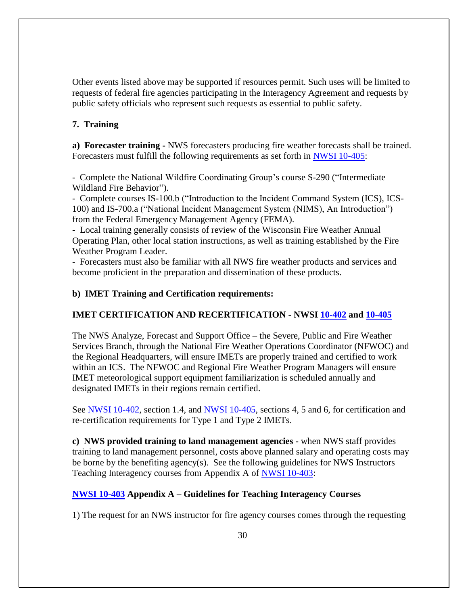Other events listed above may be supported if resources permit. Such uses will be limited to requests of federal fire agencies participating in the Interagency Agreement and requests by public safety officials who represent such requests as essential to public safety.

#### **7. Training**

**a) Forecaster training -** NWS forecasters producing fire weather forecasts shall be trained. Forecasters must fulfill the following requirements as set forth in [NWSI 10-405:](http://www.nws.noaa.gov/directives/sym/pd01004005curr.pdf)

- Complete the National Wildfire Coordinating Group's course S-290 ("Intermediate Wildland Fire Behavior").

- Complete courses IS-100.b ("Introduction to the Incident Command System (ICS), ICS-100) and IS-700.a ("National Incident Management System (NIMS), An Introduction") from the Federal Emergency Management Agency (FEMA).

- Local training generally consists of review of the Wisconsin Fire Weather Annual Operating Plan, other local station instructions, as well as training established by the Fire Weather Program Leader.

- Forecasters must also be familiar with all NWS fire weather products and services and become proficient in the preparation and dissemination of these products.

#### **b) IMET Training and Certification requirements:**

#### **IMET CERTIFICATION AND RECERTIFICATION - NWSI [10-402](http://www.nws.noaa.gov/directives/sym/pd01004002curr.pdf) and [10-405](http://www.nws.noaa.gov/directives/sym/pd01004005curr.pdf)**

The NWS Analyze, Forecast and Support Office – the Severe, Public and Fire Weather Services Branch, through the National Fire Weather Operations Coordinator (NFWOC) and the Regional Headquarters, will ensure IMETs are properly trained and certified to work within an ICS. The NFWOC and Regional Fire Weather Program Managers will ensure IMET meteorological support equipment familiarization is scheduled annually and designated IMETs in their regions remain certified.

See [NWSI 10-402,](http://www.nws.noaa.gov/directives/sym/pd01004002curr.pdf) section 1.4, and [NWSI 10-405,](http://www.nws.noaa.gov/directives/sym/pd01004005curr.pdf) sections 4, 5 and 6, for certification and re-certification requirements for Type 1 and Type 2 IMETs.

**c) NWS provided training to land management agencies -** when NWS staff provides training to land management personnel, costs above planned salary and operating costs may be borne by the benefiting agency(s). See the following guidelines for NWS Instructors Teaching Interagency courses from Appendix A of [NWSI 10-403:](http://www.nws.noaa.gov/directives/sym/pd01004003curr.pdf)

#### **[NWSI 10-403](http://www.nws.noaa.gov/directives/sym/pd01004003curr.pdf) Appendix A – Guidelines for Teaching Interagency Courses**

1) The request for an NWS instructor for fire agency courses comes through the requesting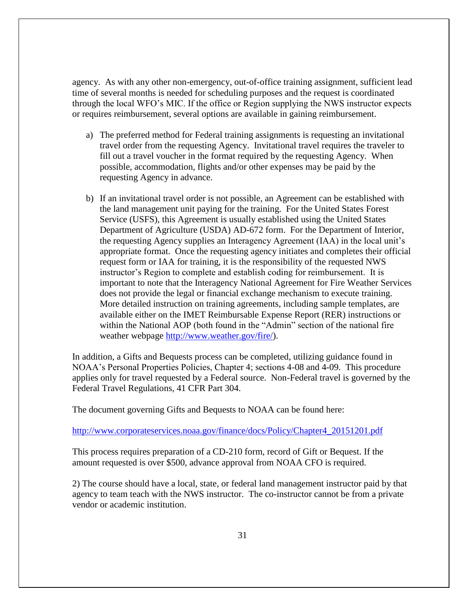agency. As with any other non-emergency, out-of-office training assignment, sufficient lead time of several months is needed for scheduling purposes and the request is coordinated through the local WFO's MIC. If the office or Region supplying the NWS instructor expects or requires reimbursement, several options are available in gaining reimbursement.

- a) The preferred method for Federal training assignments is requesting an invitational travel order from the requesting Agency. Invitational travel requires the traveler to fill out a travel voucher in the format required by the requesting Agency. When possible, accommodation, flights and/or other expenses may be paid by the requesting Agency in advance.
- b) If an invitational travel order is not possible, an Agreement can be established with the land management unit paying for the training. For the United States Forest Service (USFS), this Agreement is usually established using the United States Department of Agriculture (USDA) AD-672 form. For the Department of Interior, the requesting Agency supplies an Interagency Agreement (IAA) in the local unit's appropriate format. Once the requesting agency initiates and completes their official request form or IAA for training, it is the responsibility of the requested NWS instructor's Region to complete and establish coding for reimbursement. It is important to note that the Interagency National Agreement for Fire Weather Services does not provide the legal or financial exchange mechanism to execute training. More detailed instruction on training agreements, including sample templates, are available either on the IMET Reimbursable Expense Report (RER) instructions or within the National AOP (both found in the "Admin" section of the national fire weather webpage [http://www.weather.gov/fire/\)](http://www.weather.gov/fire/).

In addition, a Gifts and Bequests process can be completed, utilizing guidance found in NOAA's Personal Properties Policies, Chapter 4; sections 4-08 and 4-09. This procedure applies only for travel requested by a Federal source. Non-Federal travel is governed by the Federal Travel Regulations, 41 CFR Part 304.

The document governing Gifts and Bequests to NOAA can be found here:

[http://www.corporateservices.noaa.gov/finance/docs/Policy/Chapter4\\_20151201.pdf](http://www.corporateservices.noaa.gov/finance/docs/Policy/Chapter4_20151201.pdf)

This process requires preparation of a CD-210 form, record of Gift or Bequest. If the amount requested is over \$500, advance approval from NOAA CFO is required.

2) The course should have a local, state, or federal land management instructor paid by that agency to team teach with the NWS instructor. The co-instructor cannot be from a private vendor or academic institution.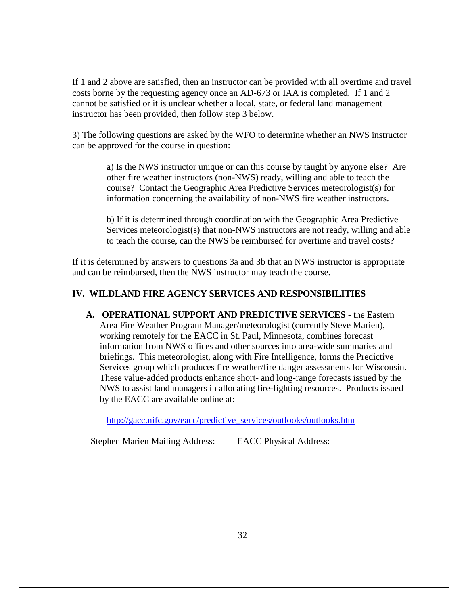If 1 and 2 above are satisfied, then an instructor can be provided with all overtime and travel costs borne by the requesting agency once an AD-673 or IAA is completed. If 1 and 2 cannot be satisfied or it is unclear whether a local, state, or federal land management instructor has been provided, then follow step 3 below.

3) The following questions are asked by the WFO to determine whether an NWS instructor can be approved for the course in question:

> a) Is the NWS instructor unique or can this course by taught by anyone else? Are other fire weather instructors (non-NWS) ready, willing and able to teach the course? Contact the Geographic Area Predictive Services meteorologist(s) for information concerning the availability of non-NWS fire weather instructors.

b) If it is determined through coordination with the Geographic Area Predictive Services meteorologist(s) that non-NWS instructors are not ready, willing and able to teach the course, can the NWS be reimbursed for overtime and travel costs?

If it is determined by answers to questions 3a and 3b that an NWS instructor is appropriate and can be reimbursed, then the NWS instructor may teach the course.

#### **IV. WILDLAND FIRE AGENCY SERVICES AND RESPONSIBILITIES**

**A. OPERATIONAL SUPPORT AND PREDICTIVE SERVICES -** the Eastern Area Fire Weather Program Manager/meteorologist (currently Steve Marien), working remotely for the EACC in St. Paul, Minnesota, combines forecast information from NWS offices and other sources into area-wide summaries and briefings. This meteorologist, along with Fire Intelligence, forms the Predictive Services group which produces fire weather/fire danger assessments for Wisconsin. These value-added products enhance short- and long-range forecasts issued by the NWS to assist land managers in allocating fire-fighting resources. Products issued by the EACC are available online at:

[http://gacc.nifc.gov/eacc/predictive\\_services/outlooks/outlooks.htm](http://gacc.nifc.gov/eacc/predictive_services/outlooks/outlooks.htm)

Stephen Marien Mailing Address: EACC Physical Address: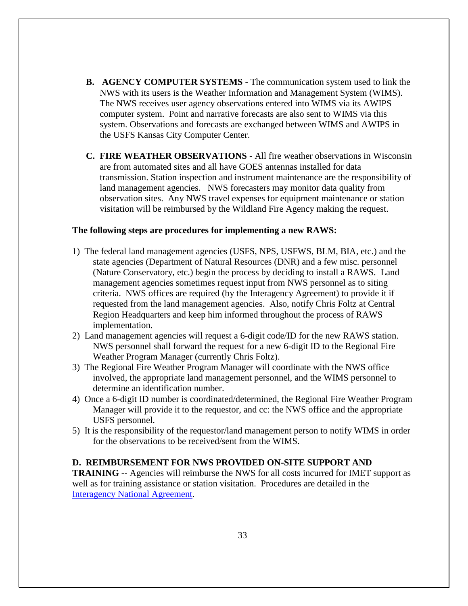- **B. AGENCY COMPUTER SYSTEMS -** The communication system used to link the NWS with its users is the Weather Information and Management System (WIMS). The NWS receives user agency observations entered into WIMS via its AWIPS computer system. Point and narrative forecasts are also sent to WIMS via this system. Observations and forecasts are exchanged between WIMS and AWIPS in the USFS Kansas City Computer Center.
- **C. FIRE WEATHER OBSERVATIONS -** All fire weather observations in Wisconsin are from automated sites and all have GOES antennas installed for data transmission. Station inspection and instrument maintenance are the responsibility of land management agencies. NWS forecasters may monitor data quality from observation sites. Any NWS travel expenses for equipment maintenance or station visitation will be reimbursed by the Wildland Fire Agency making the request.

#### **The following steps are procedures for implementing a new RAWS:**

- 1) The federal land management agencies (USFS, NPS, USFWS, BLM, BIA, etc.) and the state agencies (Department of Natural Resources (DNR) and a few misc. personnel (Nature Conservatory, etc.) begin the process by deciding to install a RAWS. Land management agencies sometimes request input from NWS personnel as to siting criteria. NWS offices are required (by the Interagency Agreement) to provide it if requested from the land management agencies. Also, notify Chris Foltz at Central Region Headquarters and keep him informed throughout the process of RAWS implementation.
- 2) Land management agencies will request a 6-digit code/ID for the new RAWS station. NWS personnel shall forward the request for a new 6-digit ID to the Regional Fire Weather Program Manager (currently Chris Foltz).
- 3) The Regional Fire Weather Program Manager will coordinate with the NWS office involved, the appropriate land management personnel, and the WIMS personnel to determine an identification number.
- 4) Once a 6-digit ID number is coordinated/determined, the Regional Fire Weather Program Manager will provide it to the requestor, and cc: the NWS office and the appropriate USFS personnel.
- 5) It is the responsibility of the requestor/land management person to notify WIMS in order for the observations to be received/sent from the WIMS.

#### **D. REIMBURSEMENT FOR NWS PROVIDED ON-SITE SUPPORT AND**

**TRAINING --** Agencies will reimburse the NWS for all costs incurred for IMET support as well as for training assistance or station visitation. Procedures are detailed in the [Interagency National Agreement.](https://www.weather.gov/media/fire/2017_National_Agreement.pdf)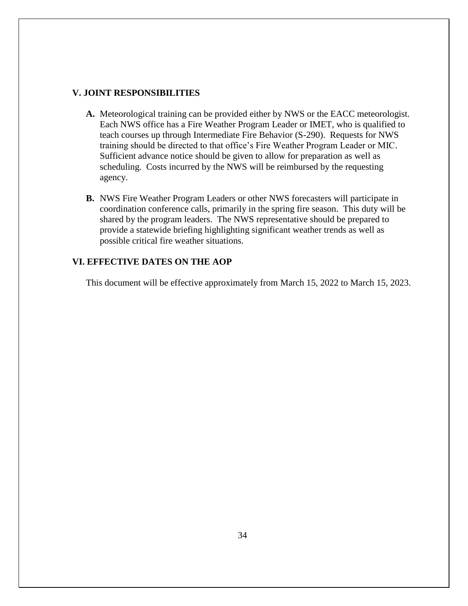#### **V. JOINT RESPONSIBILITIES**

- **A.** Meteorological training can be provided either by NWS or the EACC meteorologist. Each NWS office has a Fire Weather Program Leader or IMET, who is qualified to teach courses up through Intermediate Fire Behavior (S-290). Requests for NWS training should be directed to that office's Fire Weather Program Leader or MIC. Sufficient advance notice should be given to allow for preparation as well as scheduling. Costs incurred by the NWS will be reimbursed by the requesting agency.
- **B.** NWS Fire Weather Program Leaders or other NWS forecasters will participate in coordination conference calls, primarily in the spring fire season. This duty will be shared by the program leaders. The NWS representative should be prepared to provide a statewide briefing highlighting significant weather trends as well as possible critical fire weather situations.

#### **VI. EFFECTIVE DATES ON THE AOP**

This document will be effective approximately from March 15, 2022 to March 15, 2023.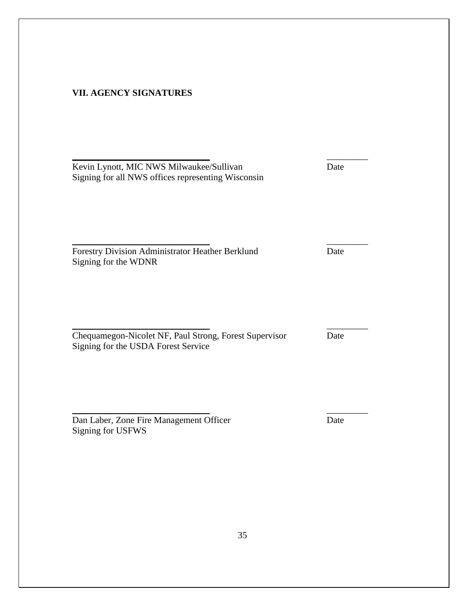# **VII. AGENCY SIGNATURES**

| Kevin Lynott, MIC NWS Milwaukee/Sullivan           | Date |
|----------------------------------------------------|------|
| Signing for all NWS offices representing Wisconsin |      |

Forestry Division Administrator Heather Berklund Date Signing for the WDNR

 $\overline{\phantom{a}}$  , and the contract of the contract of the contract of the contract of the contract of the contract of the contract of the contract of the contract of the contract of the contract of the contract of the contrac

 $\overline{\phantom{a}}$  , and the contract of the contract of the contract of the contract of the contract of the contract of the contract of the contract of the contract of the contract of the contract of the contract of the contrac

Chequamegon-Nicolet NF, Paul Strong, Forest Supervisor Date Signing for the USDA Forest Service

 $\overline{\phantom{a}}$  , and the contract of the contract of the contract of the contract of the contract of the contract of the contract of the contract of the contract of the contract of the contract of the contract of the contrac

Dan Laber, Zone Fire Management Officer Date Signing for USFWS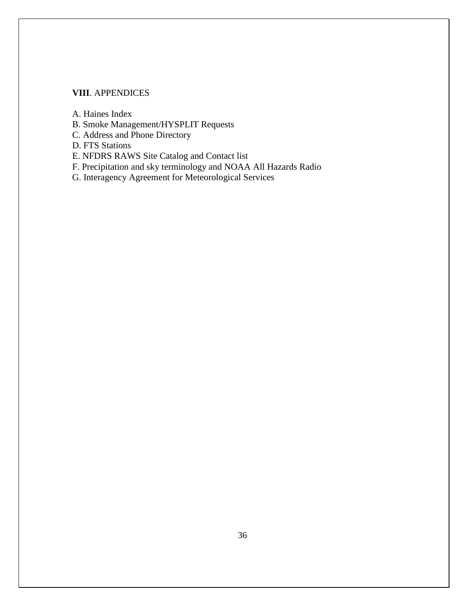### **VIII**. APPENDICES

A. Haines Index

B. Smoke Management/HYSPLIT Requests

C. Address and Phone Directory

D. FTS Stations

E. NFDRS RAWS Site Catalog and Contact list

F. Precipitation and sky terminology and NOAA All Hazards Radio

G. Interagency Agreement for Meteorological Services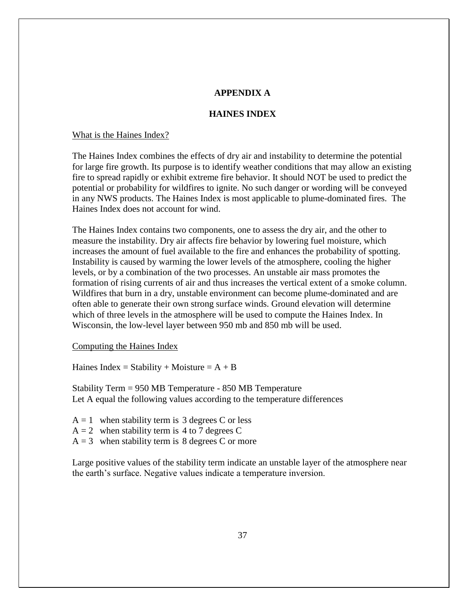#### **APPENDIX A**

#### **HAINES INDEX**

#### What is the Haines Index?

The Haines Index combines the effects of dry air and instability to determine the potential for large fire growth. Its purpose is to identify weather conditions that may allow an existing fire to spread rapidly or exhibit extreme fire behavior. It should NOT be used to predict the potential or probability for wildfires to ignite. No such danger or wording will be conveyed in any NWS products. The Haines Index is most applicable to plume-dominated fires. The Haines Index does not account for wind.

The Haines Index contains two components, one to assess the dry air, and the other to measure the instability. Dry air affects fire behavior by lowering fuel moisture, which increases the amount of fuel available to the fire and enhances the probability of spotting. Instability is caused by warming the lower levels of the atmosphere, cooling the higher levels, or by a combination of the two processes. An unstable air mass promotes the formation of rising currents of air and thus increases the vertical extent of a smoke column. Wildfires that burn in a dry, unstable environment can become plume-dominated and are often able to generate their own strong surface winds. Ground elevation will determine which of three levels in the atmosphere will be used to compute the Haines Index. In Wisconsin, the low-level layer between 950 mb and 850 mb will be used.

Computing the Haines Index

Haines Index = Stability + Moisture =  $A + B$ 

Stability Term = 950 MB Temperature - 850 MB Temperature Let A equal the following values according to the temperature differences

- $A = 1$  when stability term is 3 degrees C or less
- $A = 2$  when stability term is 4 to 7 degrees C
- $A = 3$  when stability term is 8 degrees C or more

Large positive values of the stability term indicate an unstable layer of the atmosphere near the earth's surface. Negative values indicate a temperature inversion.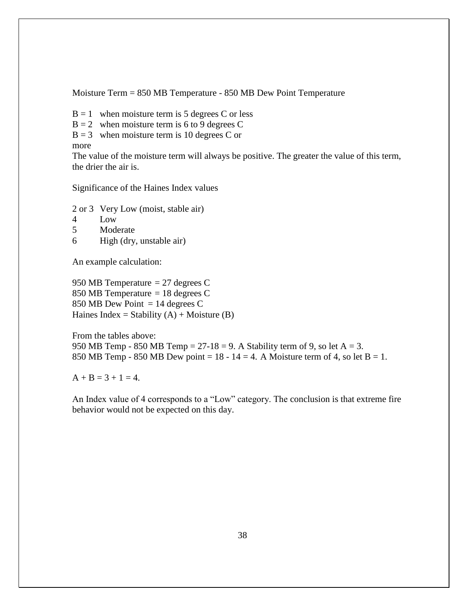Moisture Term = 850 MB Temperature - 850 MB Dew Point Temperature

 $B = 1$  when moisture term is 5 degrees C or less

- $B = 2$  when moisture term is 6 to 9 degrees C
- $B = 3$  when moisture term is 10 degrees C or

more

The value of the moisture term will always be positive. The greater the value of this term, the drier the air is.

Significance of the Haines Index values

2 or 3 Very Low (moist, stable air)

- 4 Low
- 5 Moderate
- 6 High (dry, unstable air)

An example calculation:

950 MB Temperature = 27 degrees C 850 MB Temperature = 18 degrees C 850 MB Dew Point  $= 14$  degrees C Haines Index = Stability  $(A)$  + Moisture  $(B)$ 

From the tables above: 950 MB Temp - 850 MB Temp =  $27-18 = 9$ . A Stability term of 9, so let A = 3. 850 MB Temp - 850 MB Dew point =  $18 - 14 = 4$ . A Moisture term of 4, so let B = 1.

 $A + B = 3 + 1 = 4.$ 

An Index value of 4 corresponds to a "Low" category. The conclusion is that extreme fire behavior would not be expected on this day.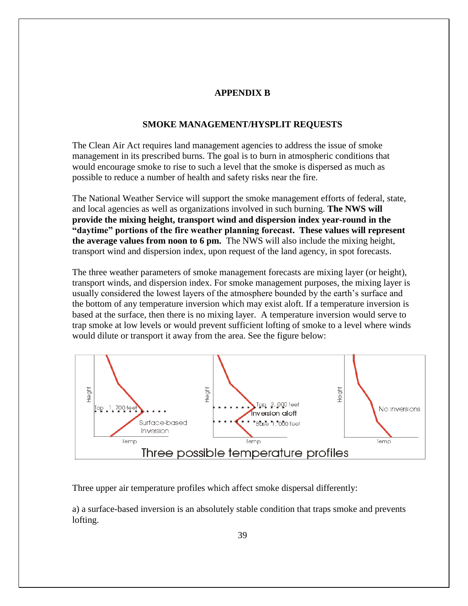#### **APPENDIX B**

#### **SMOKE MANAGEMENT/HYSPLIT REQUESTS**

The Clean Air Act requires land management agencies to address the issue of smoke management in its prescribed burns. The goal is to burn in atmospheric conditions that would encourage smoke to rise to such a level that the smoke is dispersed as much as possible to reduce a number of health and safety risks near the fire.

The National Weather Service will support the smoke management efforts of federal, state, and local agencies as well as organizations involved in such burning. **The NWS will provide the mixing height, transport wind and dispersion index year-round in the "daytime" portions of the fire weather planning forecast. These values will represent the average values from noon to 6 pm.** The NWS will also include the mixing height, transport wind and dispersion index, upon request of the land agency, in spot forecasts.

The three weather parameters of smoke management forecasts are mixing layer (or height), transport winds, and dispersion index. For smoke management purposes, the mixing layer is usually considered the lowest layers of the atmosphere bounded by the earth's surface and the bottom of any temperature inversion which may exist aloft. If a temperature inversion is based at the surface, then there is no mixing layer. A temperature inversion would serve to trap smoke at low levels or would prevent sufficient lofting of smoke to a level where winds would dilute or transport it away from the area. See the figure below:



Three upper air temperature profiles which affect smoke dispersal differently:

a) a surface-based inversion is an absolutely stable condition that traps smoke and prevents lofting.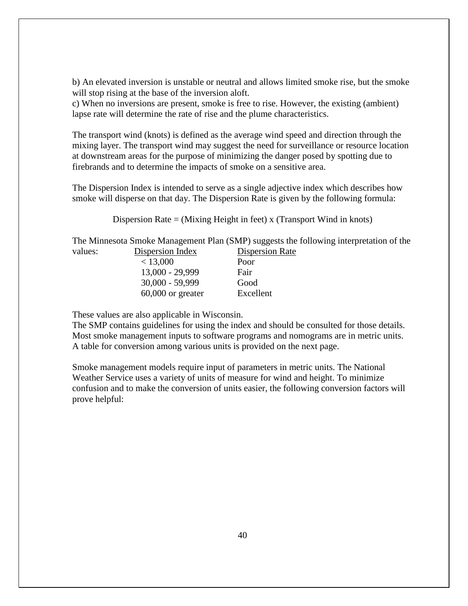b) An elevated inversion is unstable or neutral and allows limited smoke rise, but the smoke will stop rising at the base of the inversion aloft.

c) When no inversions are present, smoke is free to rise. However, the existing (ambient) lapse rate will determine the rate of rise and the plume characteristics.

The transport wind (knots) is defined as the average wind speed and direction through the mixing layer. The transport wind may suggest the need for surveillance or resource location at downstream areas for the purpose of minimizing the danger posed by spotting due to firebrands and to determine the impacts of smoke on a sensitive area.

The Dispersion Index is intended to serve as a single adjective index which describes how smoke will disperse on that day. The Dispersion Rate is given by the following formula:

Dispersion Rate  $=$  (Mixing Height in feet) x (Transport Wind in knots)

The Minnesota Smoke Management Plan (SMP) suggests the following interpretation of the values: Dispersion Index Dispersion Rate

| DISPOSION IVANO |
|-----------------|
| Poor            |
| Fair            |
| Good            |
| Excellent       |
|                 |

These values are also applicable in Wisconsin.

The SMP contains guidelines for using the index and should be consulted for those details. Most smoke management inputs to software programs and nomograms are in metric units. A table for conversion among various units is provided on the next page.

Smoke management models require input of parameters in metric units. The National Weather Service uses a variety of units of measure for wind and height. To minimize confusion and to make the conversion of units easier, the following conversion factors will prove helpful: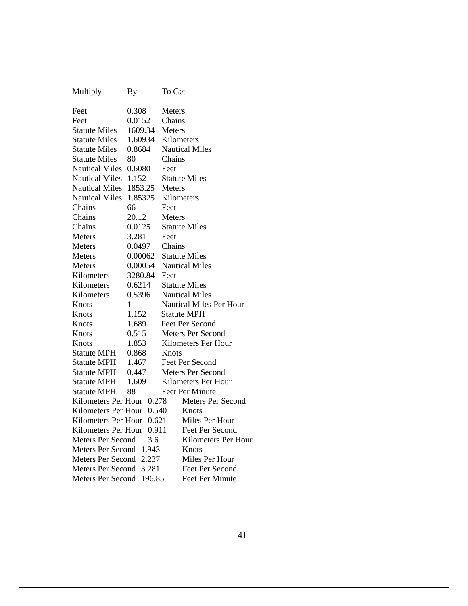| Multiply | Bv | To Get |
|----------|----|--------|
|          |    |        |

| Feet                      | 0.308   | Meters                         |  |
|---------------------------|---------|--------------------------------|--|
| Feet                      | 0.0152  | Chains                         |  |
| <b>Statute Miles</b>      | 1609.34 | <b>Meters</b>                  |  |
| <b>Statute Miles</b>      | 1.60934 | Kilometers                     |  |
| <b>Statute Miles</b>      | 0.8684  | <b>Nautical Miles</b>          |  |
| <b>Statute Miles</b>      | 80      | Chains                         |  |
| <b>Nautical Miles</b>     | 0.6080  | Feet                           |  |
| <b>Nautical Miles</b>     | 1.152   | <b>Statute Miles</b>           |  |
| <b>Nautical Miles</b>     | 1853.25 | Meters                         |  |
| <b>Nautical Miles</b>     | 1.85325 | Kilometers                     |  |
| Chains                    | 66      | Feet                           |  |
| Chains                    | 20.12   | <b>Meters</b>                  |  |
| Chains                    | 0.0125  | <b>Statute Miles</b>           |  |
| Meters                    | 3.281   | Feet                           |  |
| Meters                    | 0.0497  | Chains                         |  |
| <b>Meters</b>             | 0.00062 | <b>Statute Miles</b>           |  |
| Meters                    | 0.00054 | <b>Nautical Miles</b>          |  |
| Kilometers                | 3280.84 | Feet                           |  |
| Kilometers                | 0.6214  | <b>Statute Miles</b>           |  |
| Kilometers                | 0.5396  | <b>Nautical Miles</b>          |  |
| Knots                     | 1       | <b>Nautical Miles Per Hour</b> |  |
| Knots                     | 1.152   | <b>Statute MPH</b>             |  |
| Knots                     | 1.689   | <b>Feet Per Second</b>         |  |
| Knots                     | 0.515   | <b>Meters Per Second</b>       |  |
| Knots                     | 1.853   | Kilometers Per Hour            |  |
| <b>Statute MPH</b>        | 0.868   | Knots                          |  |
| <b>Statute MPH</b>        | 1.467   | <b>Feet Per Second</b>         |  |
| <b>Statute MPH</b>        | 0.447   | <b>Meters Per Second</b>       |  |
| <b>Statute MPH</b>        | 1.609   | Kilometers Per Hour            |  |
| <b>Statute MPH</b>        | 88      | Feet Per Minute                |  |
| Kilometers Per Hour 0.278 |         | <b>Meters Per Second</b>       |  |
| Kilometers Per Hour 0.540 |         | Knots                          |  |
| Kilometers Per Hour 0.621 |         | Miles Per Hour                 |  |
| Kilometers Per Hour 0.911 |         | <b>Feet Per Second</b>         |  |
| <b>Meters Per Second</b>  | 3.6     | Kilometers Per Hour            |  |
| Meters Per Second 1.943   |         | Knots                          |  |
| Meters Per Second 2.237   |         | Miles Per Hour                 |  |
| Meters Per Second 3.281   |         | <b>Feet Per Second</b>         |  |
| Meters Per Second 196.85  |         | <b>Feet Per Minute</b>         |  |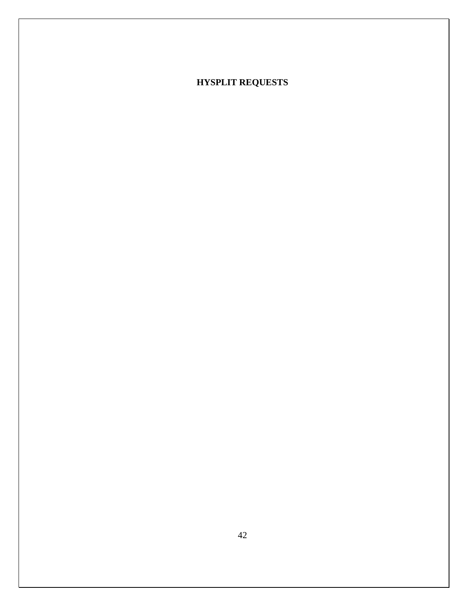# **HYSPLIT REQUESTS**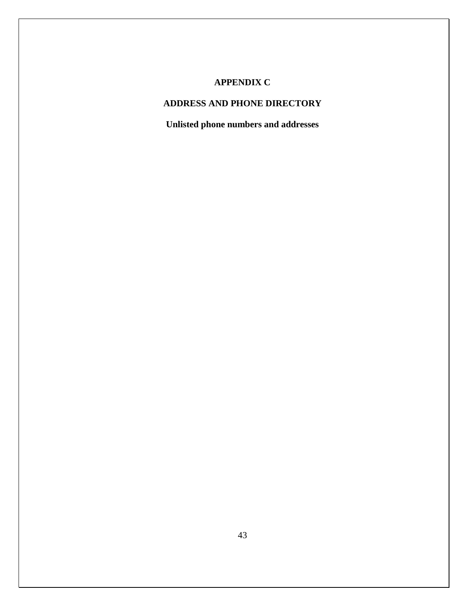# **APPENDIX C**

# **ADDRESS AND PHONE DIRECTORY**

**Unlisted phone numbers and addresses**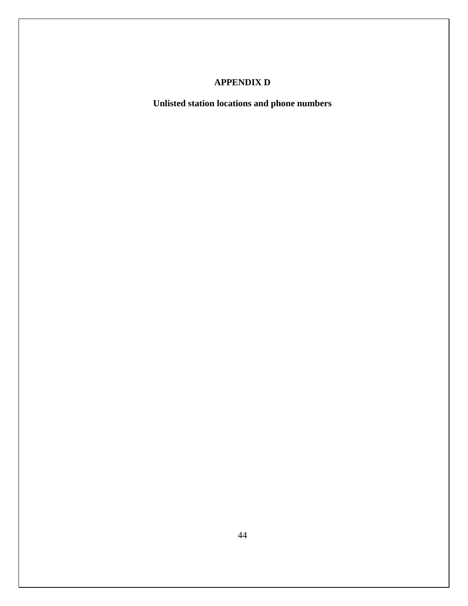# **APPENDIX D**

**Unlisted station locations and phone numbers**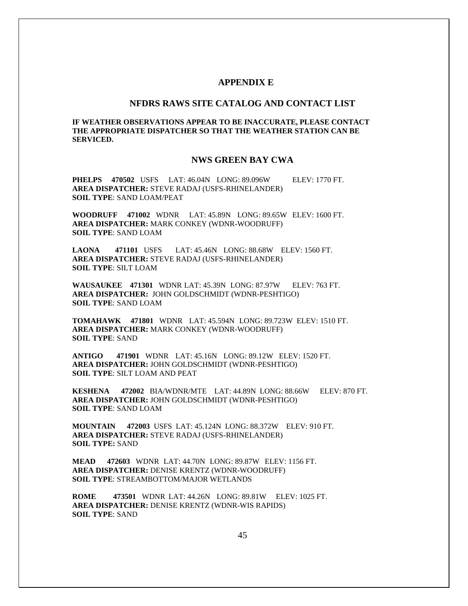#### **APPENDIX E**

#### **NFDRS RAWS SITE CATALOG AND CONTACT LIST**

**IF WEATHER OBSERVATIONS APPEAR TO BE INACCURATE, PLEASE CONTACT THE APPROPRIATE DISPATCHER SO THAT THE WEATHER STATION CAN BE SERVICED.** 

#### **NWS GREEN BAY CWA**

**PHELPS 470502** USFS LAT: 46.04N LONG: 89.096W ELEV: 1770 FT. **AREA DISPATCHER:** STEVE RADAJ (USFS-RHINELANDER) **SOIL TYPE**: SAND LOAM/PEAT

**WOODRUFF 471002** WDNR LAT: 45.89N LONG: 89.65W ELEV: 1600 FT. **AREA DISPATCHER:** MARK CONKEY (WDNR-WOODRUFF) **SOIL TYPE**: SAND LOAM

**LAONA 471101** USFS LAT: 45.46N LONG: 88.68W ELEV: 1560 FT. **AREA DISPATCHER:** STEVE RADAJ (USFS-RHINELANDER) **SOIL TYPE**: SILT LOAM

**WAUSAUKEE 471301** WDNR LAT: 45.39N LONG: 87.97W ELEV: 763 FT. **AREA DISPATCHER:** JOHN GOLDSCHMIDT (WDNR-PESHTIGO) **SOIL TYPE**: SAND LOAM

**TOMAHAWK 471801** WDNR LAT: 45.594N LONG: 89.723W ELEV: 1510 FT. **AREA DISPATCHER:** MARK CONKEY (WDNR-WOODRUFF) **SOIL TYPE**: SAND

**ANTIGO 471901** WDNR LAT: 45.16N LONG: 89.12W ELEV: 1520 FT. **AREA DISPATCHER:** JOHN GOLDSCHMIDT (WDNR-PESHTIGO) **SOIL TYPE**: SILT LOAM AND PEAT

**KESHENA 472002** BIA/WDNR/MTE LAT: 44.89N LONG: 88.66W ELEV: 870 FT. **AREA DISPATCHER:** JOHN GOLDSCHMIDT (WDNR-PESHTIGO) **SOIL TYPE**: SAND LOAM

**MOUNTAIN 472003** USFS LAT: 45.124N LONG: 88.372W ELEV: 910 FT. **AREA DISPATCHER:** STEVE RADAJ (USFS-RHINELANDER) **SOIL TYPE:** SAND

**MEAD 472603** WDNR LAT: 44.70N LONG: 89.87W ELEV: 1156 FT. **AREA DISPATCHER:** DENISE KRENTZ (WDNR-WOODRUFF) **SOIL TYPE**: STREAMBOTTOM/MAJOR WETLANDS

**ROME 473501** WDNR LAT: 44.26N LONG: 89.81W ELEV: 1025 FT. **AREA DISPATCHER:** DENISE KRENTZ (WDNR-WIS RAPIDS) **SOIL TYPE**: SAND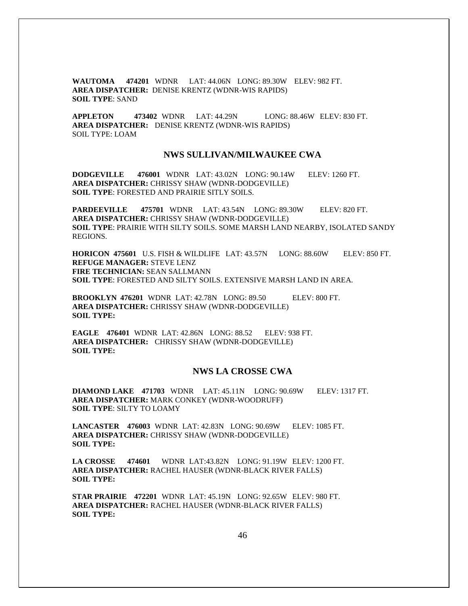**WAUTOMA 474201** WDNR LAT: 44.06N LONG: 89.30W ELEV: 982 FT. **AREA DISPATCHER:** DENISE KRENTZ (WDNR-WIS RAPIDS) **SOIL TYPE**: SAND

**APPLETON 473402** WDNR LAT: 44.29N LONG: 88.46W ELEV: 830 FT. **AREA DISPATCHER:** DENISE KRENTZ (WDNR-WIS RAPIDS) SOIL TYPE: LOAM

#### **NWS SULLIVAN/MILWAUKEE CWA**

**DODGEVILLE 476001** WDNR LAT: 43.02N LONG: 90.14W ELEV: 1260 FT. **AREA DISPATCHER:** CHRISSY SHAW (WDNR-DODGEVILLE) **SOIL TYPE**: FORESTED AND PRAIRIE SITLY SOILS.

**PARDEEVILLE 475701** WDNR LAT: 43.54N LONG: 89.30W ELEV: 820 FT. **AREA DISPATCHER:** CHRISSY SHAW (WDNR-DODGEVILLE) **SOIL TYPE**: PRAIRIE WITH SILTY SOILS. SOME MARSH LAND NEARBY, ISOLATED SANDY REGIONS.

**HORICON 475601** U.S. FISH & WILDLIFE LAT: 43.57N LONG: 88.60W ELEV: 850 FT. **REFUGE MANAGER:** STEVE LENZ **FIRE TECHNICIAN:** SEAN SALLMANN **SOIL TYPE**: FORESTED AND SILTY SOILS. EXTENSIVE MARSH LAND IN AREA.

**BROOKLYN 476201** WDNR LAT: 42.78N LONG: 89.50 ELEV: 800 FT. **AREA DISPATCHER:** CHRISSY SHAW (WDNR-DODGEVILLE) **SOIL TYPE:**

**EAGLE 476401** WDNR LAT: 42.86N LONG: 88.52 ELEV: 938 FT. **AREA DISPATCHER:** CHRISSY SHAW (WDNR-DODGEVILLE) **SOIL TYPE:**

#### **NWS LA CROSSE CWA**

**DIAMOND LAKE 471703** WDNR LAT: 45.11N LONG: 90.69W ELEV: 1317 FT. **AREA DISPATCHER:** MARK CONKEY (WDNR-WOODRUFF) **SOIL TYPE**: SILTY TO LOAMY

**LANCASTER 476003** WDNR LAT: 42.83N LONG: 90.69W ELEV: 1085 FT. **AREA DISPATCHER:** CHRISSY SHAW (WDNR-DODGEVILLE) **SOIL TYPE:**

**LA CROSSE 474601** WDNR LAT:43.82N LONG: 91.19W ELEV: 1200 FT. **AREA DISPATCHER:** RACHEL HAUSER (WDNR-BLACK RIVER FALLS) **SOIL TYPE:**

**STAR PRAIRIE 472201** WDNR LAT: 45.19N LONG: 92.65W ELEV: 980 FT. **AREA DISPATCHER:** RACHEL HAUSER (WDNR-BLACK RIVER FALLS) **SOIL TYPE:**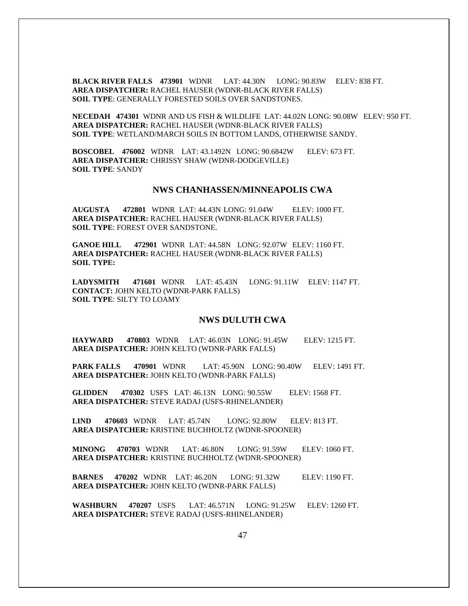**BLACK RIVER FALLS 473901** WDNR LAT: 44.30N LONG: 90.83W ELEV: 838 FT. **AREA DISPATCHER:** RACHEL HAUSER (WDNR-BLACK RIVER FALLS) **SOIL TYPE**: GENERALLY FORESTED SOILS OVER SANDSTONES.

**NECEDAH 474301** WDNR AND US FISH & WILDLIFE LAT: 44.02N LONG: 90.08W ELEV: 950 FT. **AREA DISPATCHER:** RACHEL HAUSER (WDNR-BLACK RIVER FALLS) **SOIL TYPE**: WETLAND/MARCH SOILS IN BOTTOM LANDS, OTHERWISE SANDY.

**BOSCOBEL 476002** WDNR LAT: 43.1492N LONG: 90.6842W ELEV: 673 FT. **AREA DISPATCHER:** CHRISSY SHAW (WDNR-DODGEVILLE) **SOIL TYPE**: SANDY

#### **NWS CHANHASSEN/MINNEAPOLIS CWA**

**AUGUSTA 472801** WDNR LAT: 44.43N LONG: 91.04W ELEV: 1000 FT. **AREA DISPATCHER:** RACHEL HAUSER (WDNR-BLACK RIVER FALLS) **SOIL TYPE**: FOREST OVER SANDSTONE.

**GANOE HILL 472901** WDNR LAT: 44.58N LONG: 92.07W ELEV: 1160 FT. **AREA DISPATCHER:** RACHEL HAUSER (WDNR-BLACK RIVER FALLS) **SOIL TYPE:**

**LADYSMITH 471601** WDNR LAT: 45.43N LONG: 91.11W ELEV: 1147 FT. **CONTACT:** JOHN KELTO (WDNR-PARK FALLS) **SOIL TYPE**: SILTY TO LOAMY

#### **NWS DULUTH CWA**

**HAYWARD 470803** WDNR LAT: 46.03N LONG: 91.45W ELEV: 1215 FT. **AREA DISPATCHER:** JOHN KELTO (WDNR-PARK FALLS)

**PARK FALLS 470901** WDNR LAT: 45.90N LONG: 90.40W ELEV: 1491 FT. **AREA DISPATCHER:** JOHN KELTO (WDNR-PARK FALLS)

**GLIDDEN 470302** USFS LAT: 46.13N LONG: 90.55W ELEV: 1568 FT. **AREA DISPATCHER:** STEVE RADAJ (USFS-RHINELANDER)

**LIND 470603** WDNR LAT: 45.74N LONG: 92.80W ELEV: 813 FT. **AREA DISPATCHER:** KRISTINE BUCHHOLTZ (WDNR-SPOONER)

**MINONG 470703** WDNR LAT: 46.80N LONG: 91.59W ELEV: 1060 FT. **AREA DISPATCHER:** KRISTINE BUCHHOLTZ (WDNR-SPOONER)

**BARNES 470202** WDNR LAT: 46.20N LONG: 91.32W ELEV: 1190 FT. **AREA DISPATCHER:** JOHN KELTO (WDNR-PARK FALLS)

**WASHBURN 470207** USFS LAT: 46.571N LONG: 91.25W ELEV: 1260 FT. **AREA DISPATCHER:** STEVE RADAJ (USFS-RHINELANDER)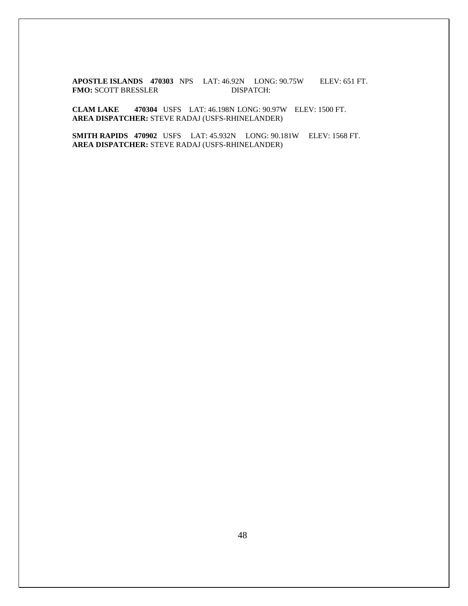**APOSTLE ISLANDS 470303** NPS LAT: 46.92N LONG: 90.75W ELEV: 651 FT.<br> **FMO:** SCOTT BRESSLER DISPATCH: **FMO:** SCOTT BRESSLER

**CLAM LAKE 470304** USFS LAT: 46.198N LONG: 90.97W ELEV: 1500 FT. **AREA DISPATCHER:** STEVE RADAJ (USFS-RHINELANDER)

**SMITH RAPIDS 470902** USFS LAT: 45.932N LONG: 90.181W ELEV: 1568 FT. **AREA DISPATCHER:** STEVE RADAJ (USFS-RHINELANDER)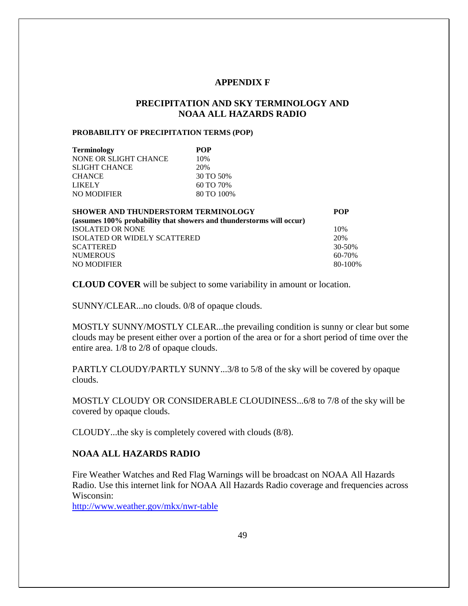#### **APPENDIX F**

#### **PRECIPITATION AND SKY TERMINOLOGY AND NOAA ALL HAZARDS RADIO**

#### **PROBABILITY OF PRECIPITATION TERMS (POP)**

| <b>Terminology</b>    | <b>POP</b> |
|-----------------------|------------|
| NONE OR SLIGHT CHANCE | 10%        |
| <b>SLIGHT CHANCE</b>  | 20%        |
| <b>CHANCE</b>         | 30 TO 50%  |
| <b>LIKELY</b>         | 60 TO 70%  |
| <b>NO MODIFIER</b>    | 80 TO 100% |

| SHOWER AND THUNDERSTORM TERMINOLOGY                                  | <b>POP</b> |
|----------------------------------------------------------------------|------------|
| (assumes 100% probability that showers and thunderstorms will occur) |            |
| <b>ISOLATED OR NONE</b>                                              | 10%        |
| ISOLATED OR WIDELY SCATTERED                                         | 20%        |
| <b>SCATTERED</b>                                                     | 30-50%     |
| <b>NUMEROUS</b>                                                      | 60-70%     |
| NO MODIFIER                                                          | 80-100%    |

**CLOUD COVER** will be subject to some variability in amount or location.

SUNNY/CLEAR...no clouds. 0/8 of opaque clouds.

MOSTLY SUNNY/MOSTLY CLEAR...the prevailing condition is sunny or clear but some clouds may be present either over a portion of the area or for a short period of time over the entire area. 1/8 to 2/8 of opaque clouds.

PARTLY CLOUDY/PARTLY SUNNY...3/8 to 5/8 of the sky will be covered by opaque clouds.

MOSTLY CLOUDY OR CONSIDERABLE CLOUDINESS...6/8 to 7/8 of the sky will be covered by opaque clouds.

CLOUDY...the sky is completely covered with clouds (8/8).

### **NOAA ALL HAZARDS RADIO**

Fire Weather Watches and Red Flag Warnings will be broadcast on NOAA All Hazards Radio. Use this internet link for NOAA All Hazards Radio coverage and frequencies across Wisconsin:

<http://www.weather.gov/mkx/nwr-table>